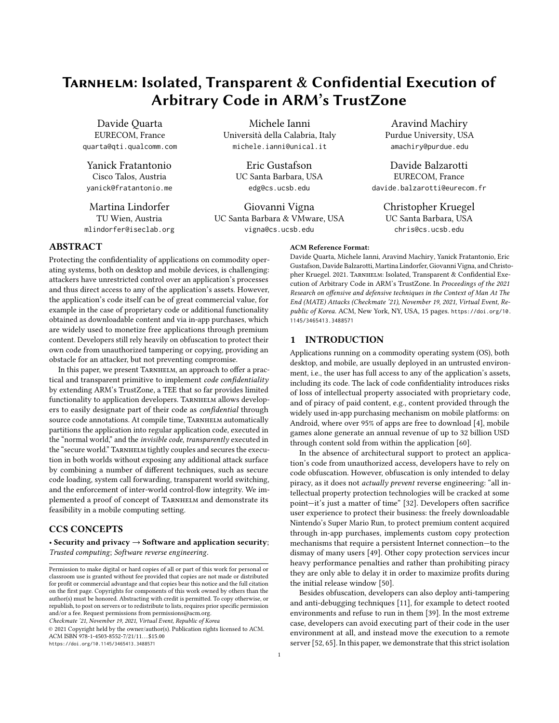# Tarnhelm: Isolated, Transparent & Confidential Execution of Arbitrary Code in ARM's TrustZone

Davide Quarta EURECOM, France quarta@qti.qualcomm.com

Yanick Fratantonio Cisco Talos, Austria yanick@fratantonio.me

Martina Lindorfer TU Wien, Austria mlindorfer@iseclab.org

Michele Ianni Università della Calabria, Italy michele.ianni@unical.it

> Eric Gustafson UC Santa Barbara, USA edg@cs.ucsb.edu

Giovanni Vigna UC Santa Barbara & VMware, USA vigna@cs.ucsb.edu

Aravind Machiry Purdue University, USA amachiry@purdue.edu

Davide Balzarotti EURECOM, France davide.balzarotti@eurecom.fr

> Christopher Kruegel UC Santa Barbara, USA chris@cs.ucsb.edu

#### ACM Reference Format:

ABSTRACT

Protecting the confidentiality of applications on commodity operating systems, both on desktop and mobile devices, is challenging: attackers have unrestricted control over an application's processes and thus direct access to any of the application's assets. However, the application's code itself can be of great commercial value, for example in the case of proprietary code or additional functionality obtained as downloadable content and via in-app purchases, which are widely used to monetize free applications through premium content. Developers still rely heavily on obfuscation to protect their own code from unauthorized tampering or copying, providing an obstacle for an attacker, but not preventing compromise.

In this paper, we present TARNHELM, an approach to offer a practical and transparent primitive to implement code confidentiality by extending ARM's TrustZone, a TEE that so far provides limited functionality to application developers. TARNHELM allows developers to easily designate part of their code as confidential through source code annotations. At compile time, TARNHELM automatically partitions the application into regular application code, executed in the "normal world," and the invisible code, transparently executed in the "secure world." TARNHELM tightly couples and secures the execution in both worlds without exposing any additional attack surface by combining a number of different techniques, such as secure code loading, system call forwarding, transparent world switching, and the enforcement of inter-world control-flow integrity. We implemented a proof of concept of TARNHELM and demonstrate its feasibility in a mobile computing setting.

## CCS CONCEPTS

• Security and privacy → Software and application security; Trusted computing; Software reverse engineering.

Checkmate '21, November 19, 2021, Virtual Event, Republic of Korea

© 2021 Copyright held by the owner/author(s). Publication rights licensed to ACM. ACM ISBN 978-1-4503-8552-7/21/11. . . \$15.00 <https://doi.org/10.1145/3465413.3488571>

Davide Quarta, Michele Ianni, Aravind Machiry, Yanick Fratantonio, Eric Gustafson, Davide Balzarotti, Martina Lindorfer, Giovanni Vigna, and Christopher Kruegel. 2021. TARNHELM: Isolated, Transparent & Confidential Execution of Arbitrary Code in ARM's TrustZone. In Proceedings of the 2021 Research on offensive and defensive techniques in the Context of Man At The End (MATE) Attacks (Checkmate '21), November 19, 2021, Virtual Event, Republic of Korea. ACM, New York, NY, USA, [15](#page-14-0) pages. [https://doi.org/10.](https://doi.org/10.1145/3465413.3488571) [1145/3465413.3488571](https://doi.org/10.1145/3465413.3488571)

## 1 INTRODUCTION

Applications running on a commodity operating system (OS), both desktop, and mobile, are usually deployed in an untrusted environment, i.e., the user has full access to any of the application's assets, including its code. The lack of code confidentiality introduces risks of loss of intellectual property associated with proprietary code, and of piracy of paid content, e.g., content provided through the widely used in-app purchasing mechanism on mobile platforms: on Android, where over 95% of apps are free to download [\[4\]](#page-12-0), mobile games alone generate an annual revenue of up to 32 billion USD through content sold from within the application [\[60\]](#page-13-0).

In the absence of architectural support to protect an application's code from unauthorized access, developers have to rely on code obfuscation. However, obfuscation is only intended to delay piracy, as it does not actually prevent reverse engineering: "all intellectual property protection technologies will be cracked at some point—it's just a matter of time" [\[32\]](#page-12-1). Developers often sacrifice user experience to protect their business: the freely downloadable Nintendo's Super Mario Run, to protect premium content acquired through in-app purchases, implements custom copy protection mechanisms that require a persistent Internet connection—to the dismay of many users [\[49\]](#page-13-1). Other copy protection services incur heavy performance penalties and rather than prohibiting piracy they are only able to delay it in order to maximize profits during the initial release window [\[50\]](#page-13-2).

Besides obfuscation, developers can also deploy anti-tampering and anti-debugging techniques [\[11\]](#page-12-2), for example to detect rooted environments and refuse to run in them [\[39\]](#page-12-3). In the most extreme case, developers can avoid executing part of their code in the user environment at all, and instead move the execution to a remote server [\[52,](#page-13-3) [65\]](#page-13-4). In this paper, we demonstrate that this strict isolation

Permission to make digital or hard copies of all or part of this work for personal or classroom use is granted without fee provided that copies are not made or distributed for profit or commercial advantage and that copies bear this notice and the full citation on the first page. Copyrights for components of this work owned by others than the author(s) must be honored. Abstracting with credit is permitted. To copy otherwise, or republish, to post on servers or to redistribute to lists, requires prior specific permission and/or a fee. Request permissions from permissions@acm.org.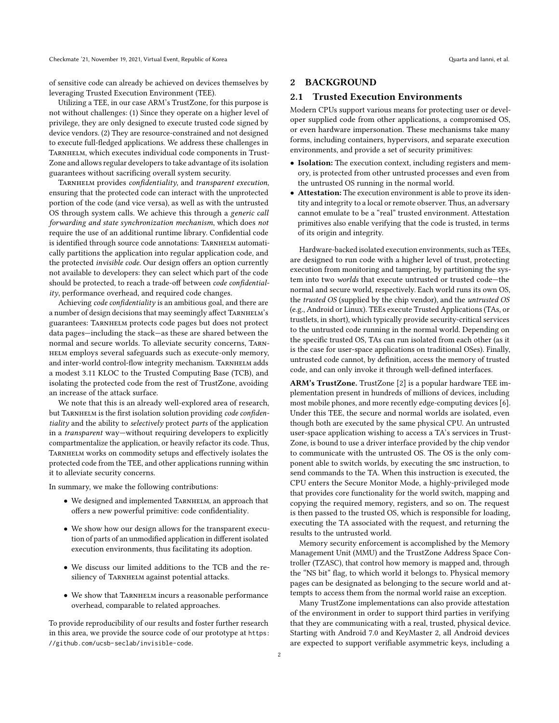Checkmate '21, November 19, 2021, Virtual Event, Republic of Korea Quarta and Ianni, et al.

of sensitive code can already be achieved on devices themselves by leveraging Trusted Execution Environment (TEE).

Utilizing a TEE, in our case ARM's TrustZone, for this purpose is not without challenges: (1) Since they operate on a higher level of privilege, they are only designed to execute trusted code signed by device vendors. (2) They are resource-constrained and not designed to execute full-fledged applications. We address these challenges in TARNHELM, which executes individual code components in Trust-Zone and allows regular developers to take advantage of its isolation guarantees without sacrificing overall system security.

TARNHELM provides confidentiality, and transparent execution, ensuring that the protected code can interact with the unprotected portion of the code (and vice versa), as well as with the untrusted OS through system calls. We achieve this through a generic call forwarding and state synchronization mechanism, which does not require the use of an additional runtime library. Confidential code is identified through source code annotations: TARNHELM automatically partitions the application into regular application code, and the protected invisible code. Our design offers an option currently not available to developers: they can select which part of the code should be protected, to reach a trade-off between code confidentiality, performance overhead, and required code changes.

Achieving code confidentiality is an ambitious goal, and there are a number of design decisions that may seemingly affect TARNHELM's guarantees: Tarnhelm protects code pages but does not protect data pages—including the stack—as these are shared between the normal and secure worlds. To alleviate security concerns, Tarnhelm employs several safeguards such as execute-only memory, and inter-world control-flow integrity mechanism. TARNHELM adds a modest 3.11 KLOC to the Trusted Computing Base (TCB), and isolating the protected code from the rest of TrustZone, avoiding an increase of the attack surface.

We note that this is an already well-explored area of research, but TARNHELM is the first isolation solution providing code confidentiality and the ability to selectively protect parts of the application in a transparent way—without requiring developers to explicitly compartmentalize the application, or heavily refactor its code. Thus, Tarnhelm works on commodity setups and effectively isolates the protected code from the TEE, and other applications running within it to alleviate security concerns.

In summary, we make the following contributions:

- We designed and implemented TARNHELM, an approach that offers a new powerful primitive: code confidentiality.
- We show how our design allows for the transparent execution of parts of an unmodified application in different isolated execution environments, thus facilitating its adoption.
- We discuss our limited additions to the TCB and the resiliency of TARNHELM against potential attacks.
- We show that TARNHELM incurs a reasonable performance overhead, comparable to related approaches.

To provide reproducibility of our results and foster further research in this area, we provide the source code of our prototype at [https:](https://github.com/ucsb-seclab/invisible-code) [//github.com/ucsb-seclab/invisible-code](https://github.com/ucsb-seclab/invisible-code).

## 2 BACKGROUND

#### 2.1 Trusted Execution Environments

Modern CPUs support various means for protecting user or developer supplied code from other applications, a compromised OS, or even hardware impersonation. These mechanisms take many forms, including containers, hypervisors, and separate execution environments, and provide a set of security primitives:

- Isolation: The execution context, including registers and memory, is protected from other untrusted processes and even from the untrusted OS running in the normal world.
- Attestation: The execution environment is able to prove its identity and integrity to a local or remote observer. Thus, an adversary cannot emulate to be a "real" trusted environment. Attestation primitives also enable verifying that the code is trusted, in terms of its origin and integrity.

Hardware-backed isolated execution environments, such as TEEs, are designed to run code with a higher level of trust, protecting execution from monitoring and tampering, by partitioning the system into two worlds that execute untrusted or trusted code—the normal and secure world, respectively. Each world runs its own OS, the trusted OS (supplied by the chip vendor), and the untrusted OS (e.g., Android or Linux). TEEs execute Trusted Applications (TAs, or trustlets, in short), which typically provide security-critical services to the untrusted code running in the normal world. Depending on the specific trusted OS, TAs can run isolated from each other (as it is the case for user-space applications on traditional OSes). Finally, untrusted code cannot, by definition, access the memory of trusted code, and can only invoke it through well-defined interfaces.

ARM's TrustZone. TrustZone [\[2\]](#page-12-4) is a popular hardware TEE implementation present in hundreds of millions of devices, including most mobile phones, and more recently edge-computing devices [\[6\]](#page-12-5). Under this TEE, the secure and normal worlds are isolated, even though both are executed by the same physical CPU. An untrusted user-space application wishing to access a TA's services in Trust-Zone, is bound to use a driver interface provided by the chip vendor to communicate with the untrusted OS. The OS is the only component able to switch worlds, by executing the smc instruction, to send commands to the TA. When this instruction is executed, the CPU enters the Secure Monitor Mode, a highly-privileged mode that provides core functionality for the world switch, mapping and copying the required memory, registers, and so on. The request is then passed to the trusted OS, which is responsible for loading, executing the TA associated with the request, and returning the results to the untrusted world.

Memory security enforcement is accomplished by the Memory Management Unit (MMU) and the TrustZone Address Space Controller (TZASC), that control how memory is mapped and, through the "NS bit" flag, to which world it belongs to. Physical memory pages can be designated as belonging to the secure world and attempts to access them from the normal world raise an exception.

Many TrustZone implementations can also provide attestation of the environment in order to support third parties in verifying that they are communicating with a real, trusted, physical device. Starting with Android 7.0 and KeyMaster 2, all Android devices are expected to support verifiable asymmetric keys, including a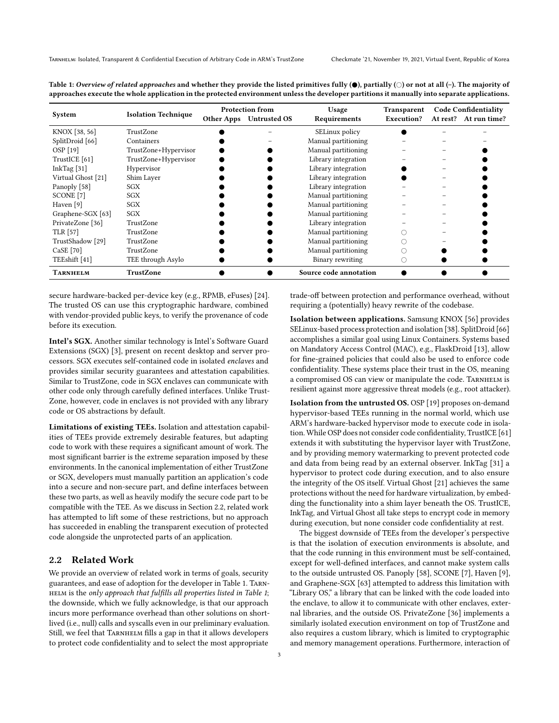|                    | <b>Isolation Technique</b> | <b>Protection from</b> |                         | Usage                  | Transparent | <b>Code Confidentiality</b> |                       |
|--------------------|----------------------------|------------------------|-------------------------|------------------------|-------------|-----------------------------|-----------------------|
| System             |                            |                        | Other Apps Untrusted OS | Requirements           | Execution?  |                             | At rest? At run time? |
| KNOX [38, 56]      | TrustZone                  |                        |                         | SELinux policy         |             |                             |                       |
| SplitDroid [66]    | Containers                 |                        |                         | Manual partitioning    |             |                             |                       |
| OSP [19]           | TrustZone+Hypervisor       |                        |                         | Manual partitioning    |             |                             |                       |
| TrustICE [61]      | TrustZone+Hypervisor       |                        |                         | Library integration    |             |                             |                       |
| InkTag $[31]$      | Hypervisor                 |                        |                         | Library integration    |             |                             |                       |
| Virtual Ghost [21] | Shim Laver                 |                        |                         | Library integration    |             |                             |                       |
| Panoply [58]       | <b>SGX</b>                 |                        |                         | Library integration    |             |                             |                       |
| SCONE [7]          | SGX                        |                        |                         | Manual partitioning    |             |                             |                       |
| Haven [9]          | SGX                        |                        |                         | Manual partitioning    |             |                             |                       |
| Graphene-SGX [63]  | SGX                        |                        |                         | Manual partitioning    |             |                             |                       |
| PrivateZone [36]   | TrustZone                  |                        |                         | Library integration    |             |                             |                       |
| TLR [57]           | TrustZone                  |                        |                         | Manual partitioning    |             |                             |                       |
| TrustShadow [29]   | TrustZone                  |                        |                         | Manual partitioning    |             |                             |                       |
| $CaSE$ [70]        | TrustZone                  |                        |                         | Manual partitioning    |             |                             |                       |
| TEEshift [41]      | TEE through Asylo          |                        |                         | Binary rewriting       |             |                             |                       |
| TARNHELM           | TrustZone                  |                        |                         | Source code annotation |             |                             |                       |

<span id="page-2-1"></span>Table 1: Overview of related approaches and whether they provide the listed primitives fully  $(\bullet)$ , partially  $(\circ)$  or not at all  $(\cdot)$ . The majority of approaches execute the whole application in the protected environment unless the developer partitions it manually into separate applications.

secure hardware-backed per-device key (e.g., RPMB, eFuses) [\[24\]](#page-12-15). The trusted OS can use this cryptographic hardware, combined with vendor-provided public keys, to verify the provenance of code before its execution.

Intel's SGX. Another similar technology is Intel's Software Guard Extensions (SGX) [\[3\]](#page-12-16), present on recent desktop and server processors. SGX executes self-contained code in isolated enclaves and provides similar security guarantees and attestation capabilities. Similar to TrustZone, code in SGX enclaves can communicate with other code only through carefully defined interfaces. Unlike Trust-Zone, however, code in enclaves is not provided with any library code or OS abstractions by default.

Limitations of existing TEEs. Isolation and attestation capabilities of TEEs provide extremely desirable features, but adapting code to work with these requires a significant amount of work. The most significant barrier is the extreme separation imposed by these environments. In the canonical implementation of either TrustZone or SGX, developers must manually partition an application's code into a secure and non-secure part, and define interfaces between these two parts, as well as heavily modify the secure code part to be compatible with the TEE. As we discuss in Section [2.2,](#page-2-0) related work has attempted to lift some of these restrictions, but no approach has succeeded in enabling the transparent execution of protected code alongside the unprotected parts of an application.

#### <span id="page-2-0"></span>2.2 Related Work

We provide an overview of related work in terms of goals, security guarantees, and ease of adoption for the developer in Table [1.](#page-2-1) Tarn-HELM is the only approach that fulfills all properties listed in Table [1](#page-2-1); the downside, which we fully acknowledge, is that our approach incurs more performance overhead than other solutions on shortlived (i.e., null) calls and syscalls even in our preliminary evaluation. Still, we feel that TARNHELM fills a gap in that it allows developers to protect code confidentiality and to select the most appropriate

trade-off between protection and performance overhead, without requiring a (potentially) heavy rewrite of the codebase.

Isolation between applications. Samsung KNOX [\[56\]](#page-13-5) provides SELinux-based process protection and isolation [\[38\]](#page-12-6). SplitDroid [\[66\]](#page-13-6) accomplishes a similar goal using Linux Containers. Systems based on Mandatory Access Control (MAC), e.g., FlaskDroid [\[13\]](#page-12-17), allow for fine-grained policies that could also be used to enforce code confidentiality. These systems place their trust in the OS, meaning a compromised OS can view or manipulate the code. TARNHELM is resilient against more aggressive threat models (e.g., root attacker).

Isolation from the untrusted OS. OSP [\[19\]](#page-12-7) proposes on-demand hypervisor-based TEEs running in the normal world, which use ARM's hardware-backed hypervisor mode to execute code in isolation. While OSP does not consider code confidentiality, TrustICE [\[61\]](#page-13-7) extends it with substituting the hypervisor layer with TrustZone, and by providing memory watermarking to prevent protected code and data from being read by an external observer. InkTag [\[31\]](#page-12-8) a hypervisor to protect code during execution, and to also ensure the integrity of the OS itself. Virtual Ghost [\[21\]](#page-12-9) achieves the same protections without the need for hardware virtualization, by embedding the functionality into a shim layer beneath the OS. TrustICE, InkTag, and Virtual Ghost all take steps to encrypt code in memory during execution, but none consider code confidentiality at rest.

The biggest downside of TEEs from the developer's perspective is that the isolation of execution environments is absolute, and that the code running in this environment must be self-contained, except for well-defined interfaces, and cannot make system calls to the outside untrusted OS. Panoply [\[58\]](#page-13-8), SCONE [\[7\]](#page-12-10), Haven [\[9\]](#page-12-11), and Graphene-SGX [\[63\]](#page-13-9) attempted to address this limitation with "Library OS," a library that can be linked with the code loaded into the enclave, to allow it to communicate with other enclaves, external libraries, and the outside OS. PrivateZone [\[36\]](#page-12-12) implements a similarly isolated execution environment on top of TrustZone and also requires a custom library, which is limited to cryptographic and memory management operations. Furthermore, interaction of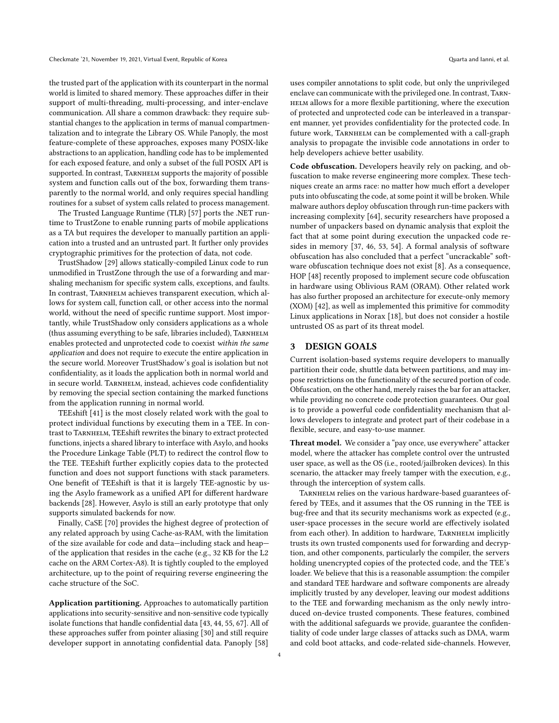the trusted part of the application with its counterpart in the normal world is limited to shared memory. These approaches differ in their support of multi-threading, multi-processing, and inter-enclave communication. All share a common drawback: they require substantial changes to the application in terms of manual compartmentalization and to integrate the Library OS. While Panoply, the most feature-complete of these approaches, exposes many POSIX-like abstractions to an application, handling code has to be implemented for each exposed feature, and only a subset of the full POSIX API is supported. In contrast, TARNHELM supports the majority of possible system and function calls out of the box, forwarding them transparently to the normal world, and only requires special handling routines for a subset of system calls related to process management.

The Trusted Language Runtime (TLR) [\[57\]](#page-13-10) ports the .NET runtime to TrustZone to enable running parts of mobile applications as a TA but requires the developer to manually partition an application into a trusted and an untrusted part. It further only provides cryptographic primitives for the protection of data, not code.

TrustShadow [\[29\]](#page-12-13) allows statically-compiled Linux code to run unmodified in TrustZone through the use of a forwarding and marshaling mechanism for specific system calls, exceptions, and faults. In contrast, Tarnhelm achieves transparent execution, which allows for system call, function call, or other access into the normal world, without the need of specific runtime support. Most importantly, while TrustShadow only considers applications as a whole (thus assuming everything to be safe, libraries included), Tarnhelm enables protected and unprotected code to coexist within the same application and does not require to execute the entire application in the secure world. Moreover TrustShadow's goal is isolation but not confidentiality, as it loads the application both in normal world and in secure world. TARNHELM, instead, achieves code confidentiality by removing the special section containing the marked functions from the application running in normal world.

TEEshift [\[41\]](#page-12-14) is the most closely related work with the goal to protect individual functions by executing them in a TEE. In contrast to Tarnhelm, TEEshift rewrites the binary to extract protected functions, injects a shared library to interface with Asylo, and hooks the Procedure Linkage Table (PLT) to redirect the control flow to the TEE. TEEshift further explicitly copies data to the protected function and does not support functions with stack parameters. One benefit of TEEshift is that it is largely TEE-agnostic by using the Asylo framework as a unified API for different hardware backends [\[28\]](#page-12-18). However, Asylo is still an early prototype that only supports simulated backends for now.

Finally, CaSE [\[70\]](#page-13-11) provides the highest degree of protection of any related approach by using Cache-as-RAM, with the limitation of the size available for code and data—including stack and heap of the application that resides in the cache (e.g., 32 KB for the L2 cache on the ARM Cortex-A8). It is tightly coupled to the employed architecture, up to the point of requiring reverse engineering the cache structure of the SoC.

Application partitioning. Approaches to automatically partition applications into security-sensitive and non-sensitive code typically isolate functions that handle confidential data [\[43,](#page-13-12) [44,](#page-13-13) [55,](#page-13-14) [67\]](#page-13-15). All of these approaches suffer from pointer aliasing [\[30\]](#page-12-19) and still require developer support in annotating confidential data. Panoply [\[58\]](#page-13-8) uses compiler annotations to split code, but only the unprivileged enclave can communicate with the privileged one. In contrast, Tarn-HELM allows for a more flexible partitioning, where the execution of protected and unprotected code can be interleaved in a transparent manner, yet provides confidentiality for the protected code. In future work, TARNHELM can be complemented with a call-graph analysis to propagate the invisible code annotations in order to help developers achieve better usability.

Code obfuscation. Developers heavily rely on packing, and obfuscation to make reverse engineering more complex. These techniques create an arms race: no matter how much effort a developer puts into obfuscating the code, at some point it will be broken. While malware authors deploy obfuscation through run-time packers with increasing complexity [\[64\]](#page-13-16), security researchers have proposed a number of unpackers based on dynamic analysis that exploit the fact that at some point during execution the unpacked code resides in memory [\[37,](#page-12-20) [46,](#page-13-17) [53,](#page-13-18) [54\]](#page-13-19). A formal analysis of software obfuscation has also concluded that a perfect "uncrackable" software obfuscation technique does not exist [\[8\]](#page-12-21). As a consequence, HOP [\[48\]](#page-13-20) recently proposed to implement secure code obfuscation in hardware using Oblivious RAM (ORAM). Other related work has also further proposed an architecture for execute-only memory (XOM) [\[42\]](#page-13-21), as well as implemented this primitive for commodity Linux applications in Norax [\[18\]](#page-12-22), but does not consider a hostile untrusted OS as part of its threat model.

### <span id="page-3-0"></span>3 DESIGN GOALS

Current isolation-based systems require developers to manually partition their code, shuttle data between partitions, and may impose restrictions on the functionality of the secured portion of code. Obfuscation, on the other hand, merely raises the bar for an attacker, while providing no concrete code protection guarantees. Our goal is to provide a powerful code confidentiality mechanism that allows developers to integrate and protect part of their codebase in a flexible, secure, and easy-to-use manner.

Threat model. We consider a "pay once, use everywhere" attacker model, where the attacker has complete control over the untrusted user space, as well as the OS (i.e., rooted/jailbroken devices). In this scenario, the attacker may freely tamper with the execution, e.g., through the interception of system calls.

TARNHELM relies on the various hardware-based guarantees offered by TEEs, and it assumes that the OS running in the TEE is bug-free and that its security mechanisms work as expected (e.g., user-space processes in the secure world are effectively isolated from each other). In addition to hardware, TARNHELM implicitly trusts its own trusted components used for forwarding and decryption, and other components, particularly the compiler, the servers holding unencrypted copies of the protected code, and the TEE's loader. We believe that this is a reasonable assumption: the compiler and standard TEE hardware and software components are already implicitly trusted by any developer, leaving our modest additions to the TEE and forwarding mechanism as the only newly introduced on-device trusted components. These features, combined with the additional safeguards we provide, guarantee the confidentiality of code under large classes of attacks such as DMA, warm and cold boot attacks, and code-related side-channels. However,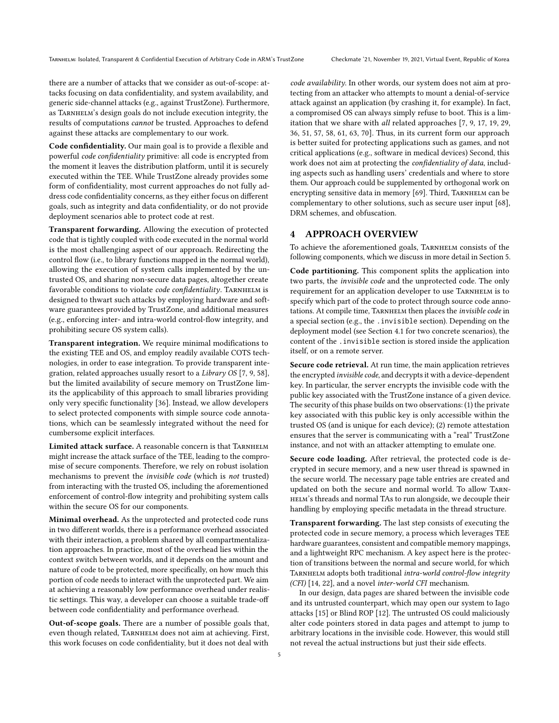there are a number of attacks that we consider as out-of-scope: attacks focusing on data confidentiality, and system availability, and generic side-channel attacks (e.g., against TrustZone). Furthermore, as TARNHELM's design goals do not include execution integrity, the results of computations cannot be trusted. Approaches to defend against these attacks are complementary to our work.

Code confidentiality. Our main goal is to provide a flexible and powerful code confidentiality primitive: all code is encrypted from the moment it leaves the distribution platform, until it is securely executed within the TEE. While TrustZone already provides some form of confidentiality, most current approaches do not fully address code confidentiality concerns, as they either focus on different goals, such as integrity and data confidentiality, or do not provide deployment scenarios able to protect code at rest.

Transparent forwarding. Allowing the execution of protected code that is tightly coupled with code executed in the normal world is the most challenging aspect of our approach. Redirecting the control flow (i.e., to library functions mapped in the normal world), allowing the execution of system calls implemented by the untrusted OS, and sharing non-secure data pages, altogether create favorable conditions to violate code confidentiality. TARNHELM is designed to thwart such attacks by employing hardware and software guarantees provided by TrustZone, and additional measures (e.g., enforcing inter- and intra-world control-flow integrity, and prohibiting secure OS system calls).

Transparent integration. We require minimal modifications to the existing TEE and OS, and employ readily available COTS technologies, in order to ease integration. To provide transparent integration, related approaches usually resort to a Library OS [\[7,](#page-12-10) [9,](#page-12-11) [58\]](#page-13-8), but the limited availability of secure memory on TrustZone limits the applicability of this approach to small libraries providing only very specific functionality [\[36\]](#page-12-12). Instead, we allow developers to select protected components with simple source code annotations, which can be seamlessly integrated without the need for cumbersome explicit interfaces.

Limited attack surface. A reasonable concern is that TARNHELM might increase the attack surface of the TEE, leading to the compromise of secure components. Therefore, we rely on robust isolation mechanisms to prevent the invisible code (which is not trusted) from interacting with the trusted OS, including the aforementioned enforcement of control-flow integrity and prohibiting system calls within the secure OS for our components.

Minimal overhead. As the unprotected and protected code runs in two different worlds, there is a performance overhead associated with their interaction, a problem shared by all compartmentalization approaches. In practice, most of the overhead lies within the context switch between worlds, and it depends on the amount and nature of code to be protected, more specifically, on how much this portion of code needs to interact with the unprotected part. We aim at achieving a reasonably low performance overhead under realistic settings. This way, a developer can choose a suitable trade-off between code confidentiality and performance overhead.

Out-of-scope goals. There are a number of possible goals that, even though related, TARNHELM does not aim at achieving. First, this work focuses on code confidentiality, but it does not deal with

code availability. In other words, our system does not aim at protecting from an attacker who attempts to mount a denial-of-service attack against an application (by crashing it, for example). In fact, a compromised OS can always simply refuse to boot. This is a limitation that we share with all related approaches [\[7,](#page-12-10) [9,](#page-12-11) [17,](#page-12-23) [19,](#page-12-7) [29,](#page-12-13) [36,](#page-12-12) [51,](#page-13-22) [57,](#page-13-10) [58,](#page-13-8) [61,](#page-13-7) [63,](#page-13-9) [70\]](#page-13-11). Thus, in its current form our approach is better suited for protecting applications such as games, and not critical applications (e.g., software in medical devices) Second, this work does not aim at protecting the confidentiality of data, including aspects such as handling users' credentials and where to store them. Our approach could be supplemented by orthogonal work on encrypting sensitive data in memory [\[69\]](#page-13-23). Third, TARNHELM can be complementary to other solutions, such as secure user input [\[68\]](#page-13-24), DRM schemes, and obfuscation.

### <span id="page-4-0"></span>4 APPROACH OVERVIEW

To achieve the aforementioned goals, Tarnhelm consists of the following components, which we discuss in more detail in Section [5.](#page-5-0)

Code partitioning. This component splits the application into two parts, the invisible code and the unprotected code. The only requirement for an application developer to use TARNHELM is to specify which part of the code to protect through source code annotations. At compile time, TARNHELM then places the invisible code in a special section (e.g., the .invisible section). Depending on the deployment model (see Section [4.1](#page-5-1) for two concrete scenarios), the content of the .invisible section is stored inside the application itself, or on a remote server.

Secure code retrieval. At run time, the main application retrieves the encrypted invisible code, and decrypts it with a device-dependent key. In particular, the server encrypts the invisible code with the public key associated with the TrustZone instance of a given device. The security of this phase builds on two observations: (1) the private key associated with this public key is only accessible within the trusted OS (and is unique for each device); (2) remote attestation ensures that the server is communicating with a "real" TrustZone instance, and not with an attacker attempting to emulate one.

Secure code loading. After retrieval, the protected code is decrypted in secure memory, and a new user thread is spawned in the secure world. The necessary page table entries are created and updated on both the secure and normal world. To allow Tarn-HELM's threads and normal TAs to run alongside, we decouple their handling by employing specific metadata in the thread structure.

Transparent forwarding. The last step consists of executing the protected code in secure memory, a process which leverages TEE hardware guarantees, consistent and compatible memory mappings, and a lightweight RPC mechanism. A key aspect here is the protection of transitions between the normal and secure world, for which TARNHELM adopts both traditional intra-world control-flow integrity (CFI) [\[14,](#page-12-24) [22\]](#page-12-25), and a novel inter-world CFI mechanism.

In our design, data pages are shared between the invisible code and its untrusted counterpart, which may open our system to Iago attacks [\[15\]](#page-12-26) or Blind ROP [\[12\]](#page-12-27). The untrusted OS could maliciously alter code pointers stored in data pages and attempt to jump to arbitrary locations in the invisible code. However, this would still not reveal the actual instructions but just their side effects.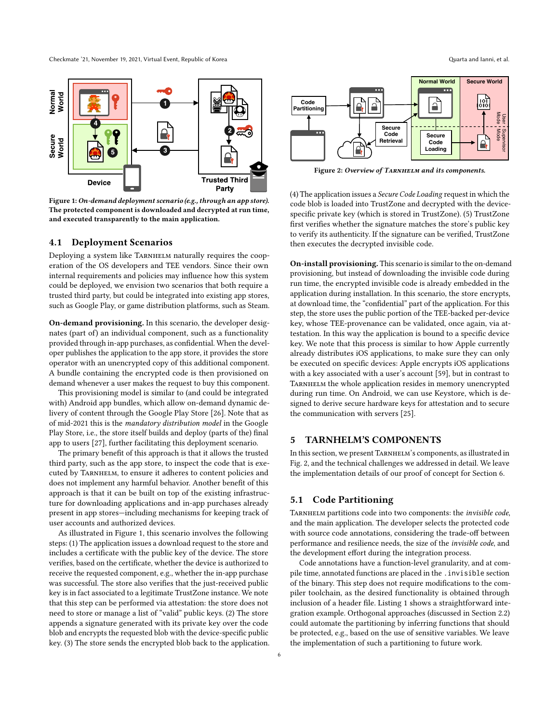<span id="page-5-2"></span>

Figure 1:On-demand deployment scenario (e.g., through an app store). The protected component is downloaded and decrypted at run time, and executed transparently to the main application.

#### <span id="page-5-1"></span>4.1 Deployment Scenarios

Deploying a system like TARNHELM naturally requires the cooperation of the OS developers and TEE vendors. Since their own internal requirements and policies may influence how this system could be deployed, we envision two scenarios that both require a trusted third party, but could be integrated into existing app stores, such as Google Play, or game distribution platforms, such as Steam.

On-demand provisioning. In this scenario, the developer designates (part of) an individual component, such as a functionality provided through in-app purchases, as confidential. When the developer publishes the application to the app store, it provides the store operator with an unencrypted copy of this additional component. A bundle containing the encrypted code is then provisioned on demand whenever a user makes the request to buy this component.

This provisioning model is similar to (and could be integrated with) Android app bundles, which allow on-demand dynamic delivery of content through the Google Play Store [\[26\]](#page-12-28). Note that as of mid-2021 this is the mandatory distribution model in the Google Play Store, i.e., the store itself builds and deploy (parts of the) final app to users [\[27\]](#page-12-29), further facilitating this deployment scenario.

The primary benefit of this approach is that it allows the trusted third party, such as the app store, to inspect the code that is executed by Tarnhelm, to ensure it adheres to content policies and does not implement any harmful behavior. Another benefit of this approach is that it can be built on top of the existing infrastructure for downloading applications and in-app purchases already present in app stores—including mechanisms for keeping track of user accounts and authorized devices.

As illustrated in Figure [1,](#page-5-2) this scenario involves the following steps: (1) The application issues a download request to the store and includes a certificate with the public key of the device. The store verifies, based on the certificate, whether the device is authorized to receive the requested component, e.g., whether the in-app purchase was successful. The store also verifies that the just-received public key is in fact associated to a legitimate TrustZone instance. We note that this step can be performed via attestation: the store does not need to store or manage a list of "valid" public keys. (2) The store appends a signature generated with its private key over the code blob and encrypts the requested blob with the device-specific public key. (3) The store sends the encrypted blob back to the application.

<span id="page-5-3"></span>

**Code Loading**

Figure 2: Overview of TARNHELM and its components.

**Retrieval**

(4) The application issues a Secure Code Loading request in which the code blob is loaded into TrustZone and decrypted with the devicespecific private key (which is stored in TrustZone). (5) TrustZone first verifies whether the signature matches the store's public key to verify its authenticity. If the signature can be verified, TrustZone then executes the decrypted invisible code.

On-install provisioning. This scenario is similar to the on-demand provisioning, but instead of downloading the invisible code during run time, the encrypted invisible code is already embedded in the application during installation. In this scenario, the store encrypts, at download time, the "confidential" part of the application. For this step, the store uses the public portion of the TEE-backed per-device key, whose TEE-provenance can be validated, once again, via attestation. In this way the application is bound to a specific device key. We note that this process is similar to how Apple currently already distributes iOS applications, to make sure they can only be executed on specific devices: Apple encrypts iOS applications with a key associated with a user's account [\[59\]](#page-13-25), but in contrast to TARNHELM the whole application resides in memory unencrypted during run time. On Android, we can use Keystore, which is designed to derive secure hardware keys for attestation and to secure the communication with servers [\[25\]](#page-12-30).

## <span id="page-5-0"></span>5 TARNHELM'S COMPONENTS

In this section, we present TARNHELM's components, as illustrated in Fig. [2,](#page-5-3) and the technical challenges we addressed in detail. We leave the implementation details of our proof of concept for Section [6.](#page-8-0)

#### 5.1 Code Partitioning

TARNHELM partitions code into two components: the invisible code, and the main application. The developer selects the protected code with source code annotations, considering the trade-off between performance and resilience needs, the size of the invisible code, and the development effort during the integration process.

Code annotations have a function-level granularity, and at compile time, annotated functions are placed in the .invisible section of the binary. This step does not require modifications to the compiler toolchain, as the desired functionality is obtained through inclusion of a header file. Listing [1](#page-6-0) shows a straightforward integration example. Orthogonal approaches (discussed in Section [2.2\)](#page-2-0) could automate the partitioning by inferring functions that should be protected, e.g., based on the use of sensitive variables. We leave the implementation of such a partitioning to future work.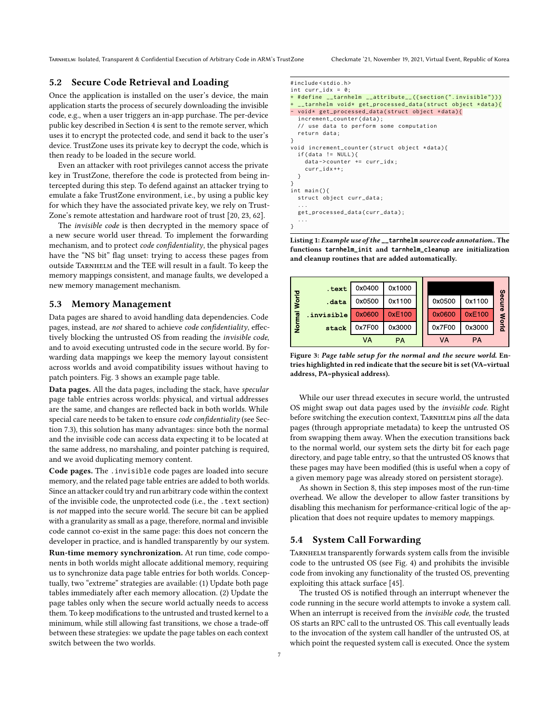Tarnhelm: Isolated, Transparent & Confidential Execution of Arbitrary Code in ARM's TrustZone Checkmate '21, November 19, 2021, Virtual Event, Republic of Korea

## 5.2 Secure Code Retrieval and Loading

Once the application is installed on the user's device, the main application starts the process of securely downloading the invisible code, e.g., when a user triggers an in-app purchase. The per-device public key described in Section [4](#page-4-0) is sent to the remote server, which uses it to encrypt the protected code, and send it back to the user's device. TrustZone uses its private key to decrypt the code, which is then ready to be loaded in the secure world.

Even an attacker with root privileges cannot access the private key in TrustZone, therefore the code is protected from being intercepted during this step. To defend against an attacker trying to emulate a fake TrustZone environment, i.e., by using a public key for which they have the associated private key, we rely on Trust-Zone's remote attestation and hardware root of trust [\[20,](#page-12-31) [23,](#page-12-32) [62\]](#page-13-26).

The invisible code is then decrypted in the memory space of a new secure world user thread. To implement the forwarding mechanism, and to protect code confidentiality, the physical pages have the "NS bit" flag unset: trying to access these pages from outside Tarnhelm and the TEE will result in a fault. To keep the memory mappings consistent, and manage faults, we developed a new memory management mechanism.

#### <span id="page-6-2"></span>5.3 Memory Management

Data pages are shared to avoid handling data dependencies. Code pages, instead, are not shared to achieve code confidentiality, effectively blocking the untrusted OS from reading the invisible code, and to avoid executing untrusted code in the secure world. By forwarding data mappings we keep the memory layout consistent across worlds and avoid compatibility issues without having to patch pointers. Fig. [3](#page-6-1) shows an example page table.

Data pages. All the data pages, including the stack, have specular page table entries across worlds: physical, and virtual addresses are the same, and changes are reflected back in both worlds. While special care needs to be taken to ensure code confidentiality (see Section [7.3\)](#page-9-0), this solution has many advantages: since both the normal and the invisible code can access data expecting it to be located at the same address, no marshaling, and pointer patching is required, and we avoid duplicating memory content.

Code pages. The .invisible code pages are loaded into secure memory, and the related page table entries are added to both worlds. Since an attacker could try and run arbitrary code within the context of the invisible code, the unprotected code (i.e., the .text section) is not mapped into the secure world. The secure bit can be applied with a granularity as small as a page, therefore, normal and invisible code cannot co-exist in the same page: this does not concern the developer in practice, and is handled transparently by our system.

Run-time memory synchronization. At run time, code components in both worlds might allocate additional memory, requiring us to synchronize data page table entries for both worlds. Conceptually, two "extreme" strategies are available: (1) Update both page tables immediately after each memory allocation. (2) Update the page tables only when the secure world actually needs to access them. To keep modifications to the untrusted and trusted kernel to a minimum, while still allowing fast transitions, we chose a trade-off between these strategies: we update the page tables on each context switch between the two worlds.

```
# include < stdio .h >
int curr idx = 0:
+ # define  tarnhelm  attribute  (( section (". invisible")))
  \overline{\phantom{a}} _tarnhelm void* get_processed_data(struct object *data){
- void* get_processed_data(struct object *data){
  increment_counter ( data ) :
  // use data to perform some computation
  return data ;
}
void increment_counter ( struct object * data ) {
  if (data != NULL)data ->counter += curr_idx;
    curr_idx ++;
 }
}
int main () {
  struct object curr_data ;
  ...
  get_processed_data ( curr_data ) ;
  ...
}
```
Listing 1: Example use of the **\_\_tarnhelm** source code annotation.. The functions **tarnhelm\_init** and **tarnhelm\_cleanup** are initialization and cleanup routines that are added automatically.

<span id="page-6-1"></span>

Figure 3: Page table setup for the normal and the secure world. Entries highlighted in red indicate that the secure bit is set (VA=virtual address, PA=physical address).

While our user thread executes in secure world, the untrusted OS might swap out data pages used by the invisible code. Right before switching the execution context, TARNHELM pins all the data pages (through appropriate metadata) to keep the untrusted OS from swapping them away. When the execution transitions back to the normal world, our system sets the dirty bit for each page directory, and page table entry, so that the untrusted OS knows that these pages may have been modified (this is useful when a copy of a given memory page was already stored on persistent storage).

As shown in Section [8,](#page-10-0) this step imposes most of the run-time overhead. We allow the developer to allow faster transitions by disabling this mechanism for performance-critical logic of the application that does not require updates to memory mappings.

## 5.4 System Call Forwarding

TARNHELM transparently forwards system calls from the invisible code to the untrusted OS (see Fig. [4\)](#page-7-0) and prohibits the invisible code from invoking any functionality of the trusted OS, preventing exploiting this attack surface [\[45\]](#page-13-27).

The trusted OS is notified through an interrupt whenever the code running in the secure world attempts to invoke a system call. When an interrupt is received from the invisible code, the trusted OS starts an RPC call to the untrusted OS. This call eventually leads to the invocation of the system call handler of the untrusted OS, at which point the requested system call is executed. Once the system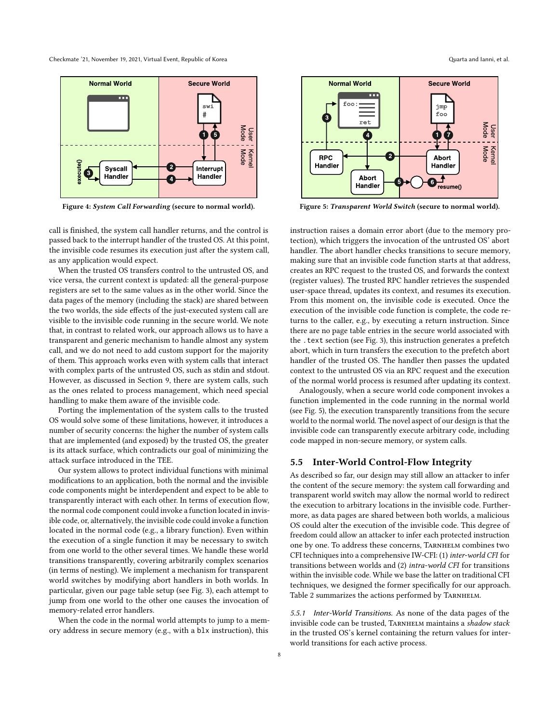<span id="page-7-0"></span>

Figure 4: System Call Forwarding (secure to normal world).

call is finished, the system call handler returns, and the control is passed back to the interrupt handler of the trusted OS. At this point, the invisible code resumes its execution just after the system call, as any application would expect.

When the trusted OS transfers control to the untrusted OS, and vice versa, the current context is updated: all the general-purpose registers are set to the same values as in the other world. Since the data pages of the memory (including the stack) are shared between the two worlds, the side effects of the just-executed system call are visible to the invisible code running in the secure world. We note that, in contrast to related work, our approach allows us to have a transparent and generic mechanism to handle almost any system call, and we do not need to add custom support for the majority of them. This approach works even with system calls that interact with complex parts of the untrusted OS, such as stdin and stdout. However, as discussed in Section [9,](#page-11-0) there are system calls, such as the ones related to process management, which need special handling to make them aware of the invisible code.

Porting the implementation of the system calls to the trusted OS would solve some of these limitations, however, it introduces a number of security concerns: the higher the number of system calls that are implemented (and exposed) by the trusted OS, the greater is its attack surface, which contradicts our goal of minimizing the attack surface introduced in the TEE.

Our system allows to protect individual functions with minimal modifications to an application, both the normal and the invisible code components might be interdependent and expect to be able to transparently interact with each other. In terms of execution flow, the normal code component could invoke a function located in invisible code, or, alternatively, the invisible code could invoke a function located in the normal code (e.g., a library function). Even within the execution of a single function it may be necessary to switch from one world to the other several times. We handle these world transitions transparently, covering arbitrarily complex scenarios (in terms of nesting). We implement a mechanism for transparent world switches by modifying abort handlers in both worlds. In particular, given our page table setup (see Fig. [3\)](#page-6-1), each attempt to jump from one world to the other one causes the invocation of memory-related error handlers.

When the code in the normal world attempts to jump to a memory address in secure memory (e.g., with a blx instruction), this

<span id="page-7-1"></span>

Figure 5: Transparent World Switch (secure to normal world).

instruction raises a domain error abort (due to the memory protection), which triggers the invocation of the untrusted OS' abort handler. The abort handler checks transitions to secure memory, making sure that an invisible code function starts at that address, creates an RPC request to the trusted OS, and forwards the context (register values). The trusted RPC handler retrieves the suspended user-space thread, updates its context, and resumes its execution. From this moment on, the invisible code is executed. Once the execution of the invisible code function is complete, the code returns to the caller, e.g., by executing a return instruction. Since there are no page table entries in the secure world associated with the .text section (see Fig. [3\)](#page-6-1), this instruction generates a prefetch abort, which in turn transfers the execution to the prefetch abort handler of the trusted OS. The handler then passes the updated context to the untrusted OS via an RPC request and the execution of the normal world process is resumed after updating its context.

Analogously, when a secure world code component invokes a function implemented in the code running in the normal world (see Fig. [5\)](#page-7-1), the execution transparently transitions from the secure world to the normal world. The novel aspect of our design is that the invisible code can transparently execute arbitrary code, including code mapped in non-secure memory, or system calls.

## 5.5 Inter-World Control-Flow Integrity

As described so far, our design may still allow an attacker to infer the content of the secure memory: the system call forwarding and transparent world switch may allow the normal world to redirect the execution to arbitrary locations in the invisible code. Furthermore, as data pages are shared between both worlds, a malicious OS could alter the execution of the invisible code. This degree of freedom could allow an attacker to infer each protected instruction one by one. To address these concerns, Tarnhelm combines two CFI techniques into a comprehensive IW-CFI: (1) inter-world CFI for transitions between worlds and (2) intra-world CFI for transitions within the invisible code. While we base the latter on traditional CFI techniques, we designed the former specifically for our approach. Table [2](#page-8-1) summarizes the actions performed by TARNHELM.

5.5.1 Inter-World Transitions. As none of the data pages of the invisible code can be trusted, TARNHELM maintains a shadow stack in the trusted OS's kernel containing the return values for interworld transitions for each active process.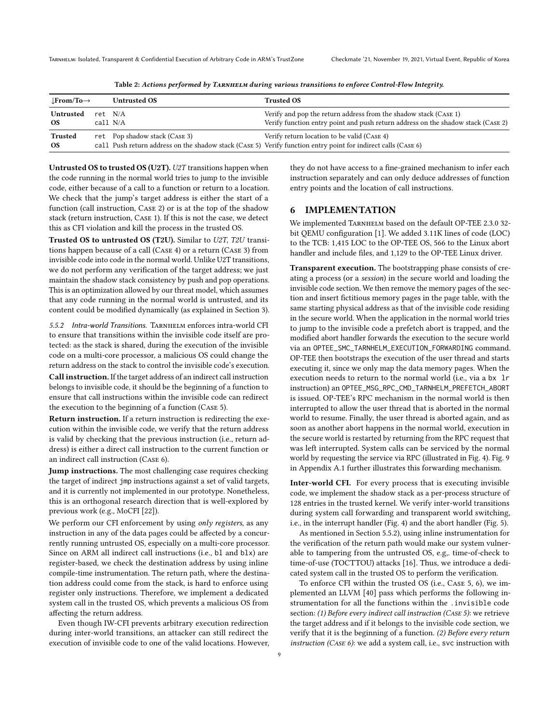<span id="page-8-1"></span>

| $\bot$ From/To $\rightarrow$ |          | <b>Untrusted OS</b>           | <b>Trusted OS</b>                                                                                             |
|------------------------------|----------|-------------------------------|---------------------------------------------------------------------------------------------------------------|
| Untrusted                    | ret N/A  |                               | Verify and pop the return address from the shadow stack (CASE 1)                                              |
| OS.                          | call N/A |                               | Verify function entry point and push return address on the shadow stack (CASE 2)                              |
| Trusted                      |          | ret Pop shadow stack (CASE 3) | Verify return location to be valid (CASE 4)                                                                   |
| OS.                          |          |                               | call Push return address on the shadow stack (CASE 5) Verify function entry point for indirect calls (CASE 6) |

Table 2: Actions performed by TARNHELM during various transitions to enforce Control-Flow Integrity.

Untrusted OS to trusted OS (U2T). U2T transitions happen when the code running in the normal world tries to jump to the invisible code, either because of a call to a function or return to a location. We check that the jump's target address is either the start of a function (call instruction, Case 2) or is at the top of the shadow stack (return instruction, Case 1). If this is not the case, we detect this as CFI violation and kill the process in the trusted OS.

Trusted OS to untrusted OS (T2U). Similar to U2T, T2U transitions happen because of a call (Case 4) or a return (Case 3) from invisible code into code in the normal world. Unlike U2T transitions, we do not perform any verification of the target address; we just maintain the shadow stack consistency by push and pop operations. This is an optimization allowed by our threat model, which assumes that any code running in the normal world is untrusted, and its content could be modified dynamically (as explained in Section [3\)](#page-3-0).

<span id="page-8-2"></span>5.5.2 Intra-world Transitions. TARNHELM enforces intra-world CFI to ensure that transitions within the invisible code itself are protected: as the stack is shared, during the execution of the invisible code on a multi-core processor, a malicious OS could change the return address on the stack to control the invisible code's execution.

Call instruction. If the target address of an indirect call instruction belongs to invisible code, it should be the beginning of a function to ensure that call instructions within the invisible code can redirect the execution to the beginning of a function (Case 5).

Return instruction. If a return instruction is redirecting the execution within the invisible code, we verify that the return address is valid by checking that the previous instruction (i.e., return address) is either a direct call instruction to the current function or an indirect call instruction (Case 6).

Jump instructions. The most challenging case requires checking the target of indirect jmp instructions against a set of valid targets, and it is currently not implemented in our prototype. Nonetheless, this is an orthogonal research direction that is well-explored by previous work (e.g., MoCFI [\[22\]](#page-12-25)).

We perform our CFI enforcement by using only registers, as any instruction in any of the data pages could be affected by a concurrently running untrusted OS, especially on a multi-core processor. Since on ARM all indirect call instructions (i.e., bl and blx) are register-based, we check the destination address by using inline compile-time instrumentation. The return path, where the destination address could come from the stack, is hard to enforce using register only instructions. Therefore, we implement a dedicated system call in the trusted OS, which prevents a malicious OS from affecting the return address.

Even though IW-CFI prevents arbitrary execution redirection during inter-world transitions, an attacker can still redirect the execution of invisible code to one of the valid locations. However, they do not have access to a fine-grained mechanism to infer each instruction separately and can only deduce addresses of function entry points and the location of call instructions.

## <span id="page-8-0"></span>6 IMPLEMENTATION

We implemented TARNHELM based on the default OP-TEE 2.3.0 32bit QEMU configuration [\[1\]](#page-12-33). We added 3.11K lines of code (LOC) to the TCB: 1,415 LOC to the OP-TEE OS, 566 to the Linux abort handler and include files, and 1,129 to the OP-TEE Linux driver.

Transparent execution. The bootstrapping phase consists of creating a process (or a session) in the secure world and loading the invisible code section. We then remove the memory pages of the section and insert fictitious memory pages in the page table, with the same starting physical address as that of the invisible code residing in the secure world. When the application in the normal world tries to jump to the invisible code a prefetch abort is trapped, and the modified abort handler forwards the execution to the secure world via an OPTEE\_SMC\_TARNHELM\_EXECUTION\_FORWARDING command. OP-TEE then bootstraps the execution of the user thread and starts executing it, since we only map the data memory pages. When the execution needs to return to the normal world (i.e., via a bx lr instruction) an OPTEE\_MSG\_RPC\_CMD\_TARNHELM\_PREFETCH\_ABORT is issued. OP-TEE's RPC mechanism in the normal world is then interrupted to allow the user thread that is aborted in the normal world to resume. Finally, the user thread is aborted again, and as soon as another abort happens in the normal world, execution in the secure world is restarted by returning from the RPC request that was left interrupted. System calls can be serviced by the normal world by requesting the service via RPC (illustrated in Fig. [4\)](#page-7-0). Fig. [9](#page-13-28) in Appendix [A.1](#page-13-29) further illustrates this forwarding mechanism.

Inter-world CFI. For every process that is executing invisible code, we implement the shadow stack as a per-process structure of 128 entries in the trusted kernel. We verify inter-world transitions during system call forwarding and transparent world switching, i.e., in the interrupt handler (Fig. [4\)](#page-7-0) and the abort handler (Fig. [5\)](#page-7-1).

As mentioned in Section [5.5.2\)](#page-8-2), using inline instrumentation for the verification of the return path would make our system vulnerable to tampering from the untrusted OS, e.g,. time-of-check to time-of-use (TOCTTOU) attacks [\[16\]](#page-12-34). Thus, we introduce a dedicated system call in the trusted OS to perform the verification.

To enforce CFI within the trusted OS (i.e., Case 5, 6), we implemented an LLVM [\[40\]](#page-12-35) pass which performs the following instrumentation for all the functions within the .invisible code section: (1) Before every indirect call instruction (CASE 5): we retrieve the target address and if it belongs to the invisible code section, we verify that it is the beginning of a function. (2) Before every return instruction (Case 6): we add a system call, i.e., svc instruction with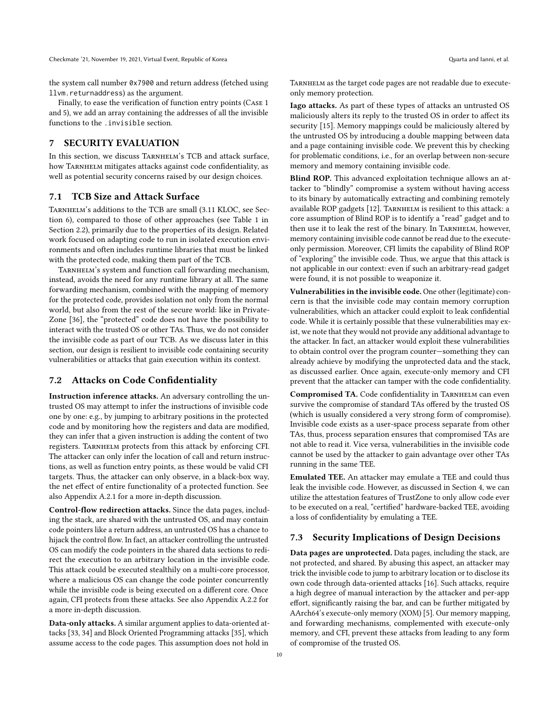the system call number 0x7900 and return address (fetched using llvm.returnaddress) as the argument.

Finally, to ease the verification of function entry points (Case 1 and 5), we add an array containing the addresses of all the invisible functions to the .invisible section.

## 7 SECURITY EVALUATION

In this section, we discuss TARNHELM's TCB and attack surface, how TARNHELM mitigates attacks against code confidentiality, as well as potential security concerns raised by our design choices.

#### 7.1 TCB Size and Attack Surface

TARNHELM's additions to the TCB are small (3.11 KLOC, see Section [6\)](#page-8-0), compared to those of other approaches (see Table [1](#page-2-1) in Section [2.2\)](#page-2-0), primarily due to the properties of its design. Related work focused on adapting code to run in isolated execution environments and often includes runtime libraries that must be linked with the protected code, making them part of the TCB.

TARNHELM's system and function call forwarding mechanism, instead, avoids the need for any runtime library at all. The same forwarding mechanism, combined with the mapping of memory for the protected code, provides isolation not only from the normal world, but also from the rest of the secure world: like in Private-Zone [\[36\]](#page-12-12), the "protected" code does not have the possibility to interact with the trusted OS or other TAs. Thus, we do not consider the invisible code as part of our TCB. As we discuss later in this section, our design is resilient to invisible code containing security vulnerabilities or attacks that gain execution within its context.

#### 7.2 Attacks on Code Confidentiality

Instruction inference attacks. An adversary controlling the untrusted OS may attempt to infer the instructions of invisible code one by one: e.g., by jumping to arbitrary positions in the protected code and by monitoring how the registers and data are modified, they can infer that a given instruction is adding the content of two registers. Tarnhelm protects from this attack by enforcing CFI. The attacker can only infer the location of call and return instructions, as well as function entry points, as these would be valid CFI targets. Thus, the attacker can only observe, in a black-box way, the net effect of entire functionality of a protected function. See also Appendix [A.2.1](#page-14-1) for a more in-depth discussion.

Control-flow redirection attacks. Since the data pages, including the stack, are shared with the untrusted OS, and may contain code pointers like a return address, an untrusted OS has a chance to hijack the control flow. In fact, an attacker controlling the untrusted OS can modify the code pointers in the shared data sections to redirect the execution to an arbitrary location in the invisible code. This attack could be executed stealthily on a multi-core processor, where a malicious OS can change the code pointer concurrently while the invisible code is being executed on a different core. Once again, CFI protects from these attacks. See also Appendix [A.2.2](#page-14-2) for a more in-depth discussion.

Data-only attacks. A similar argument applies to data-oriented attacks [\[33,](#page-12-36) [34\]](#page-12-37) and Block Oriented Programming attacks [\[35\]](#page-12-38), which assume access to the code pages. This assumption does not hold in

Tarnhelm as the target code pages are not readable due to executeonly memory protection.

Iago attacks. As part of these types of attacks an untrusted OS maliciously alters its reply to the trusted OS in order to affect its security [\[15\]](#page-12-26). Memory mappings could be maliciously altered by the untrusted OS by introducing a double mapping between data and a page containing invisible code. We prevent this by checking for problematic conditions, i.e., for an overlap between non-secure memory and memory containing invisible code.

Blind ROP. This advanced exploitation technique allows an attacker to "blindly" compromise a system without having access to its binary by automatically extracting and combining remotely available ROP gadgets [\[12\]](#page-12-27). TARNHELM is resilient to this attack: a core assumption of Blind ROP is to identify a "read" gadget and to then use it to leak the rest of the binary. In TARNHELM, however, memory containing invisible code cannot be read due to the executeonly permission. Moreover, CFI limits the capability of Blind ROP of "exploring" the invisible code. Thus, we argue that this attack is not applicable in our context: even if such an arbitrary-read gadget were found, it is not possible to weaponize it.

Vulnerabilities in the invisible code. One other (legitimate) concern is that the invisible code may contain memory corruption vulnerabilities, which an attacker could exploit to leak confidential code. While it is certainly possible that these vulnerabilities may exist, we note that they would not provide any additional advantage to the attacker. In fact, an attacker would exploit these vulnerabilities to obtain control over the program counter—something they can already achieve by modifying the unprotected data and the stack, as discussed earlier. Once again, execute-only memory and CFI prevent that the attacker can tamper with the code confidentiality.

Compromised TA. Code confidentiality in TARNHELM can even survive the compromise of standard TAs offered by the trusted OS (which is usually considered a very strong form of compromise). Invisible code exists as a user-space process separate from other TAs, thus, process separation ensures that compromised TAs are not able to read it. Vice versa, vulnerabilities in the invisible code cannot be used by the attacker to gain advantage over other TAs running in the same TEE.

Emulated TEE. An attacker may emulate a TEE and could thus leak the invisible code. However, as discussed in Section [4,](#page-4-0) we can utilize the attestation features of TrustZone to only allow code ever to be executed on a real, "certified" hardware-backed TEE, avoiding a loss of confidentiality by emulating a TEE.

#### <span id="page-9-0"></span>7.3 Security Implications of Design Decisions

Data pages are unprotected. Data pages, including the stack, are not protected, and shared. By abusing this aspect, an attacker may trick the invisible code to jump to arbitrary location or to disclose its own code through data-oriented attacks [\[16\]](#page-12-34). Such attacks, require a high degree of manual interaction by the attacker and per-app effort, significantly raising the bar, and can be further mitigated by AArch64's execute-only memory (XOM) [\[5\]](#page-12-39). Our memory mapping, and forwarding mechanisms, complemented with execute-only memory, and CFI, prevent these attacks from leading to any form of compromise of the trusted OS.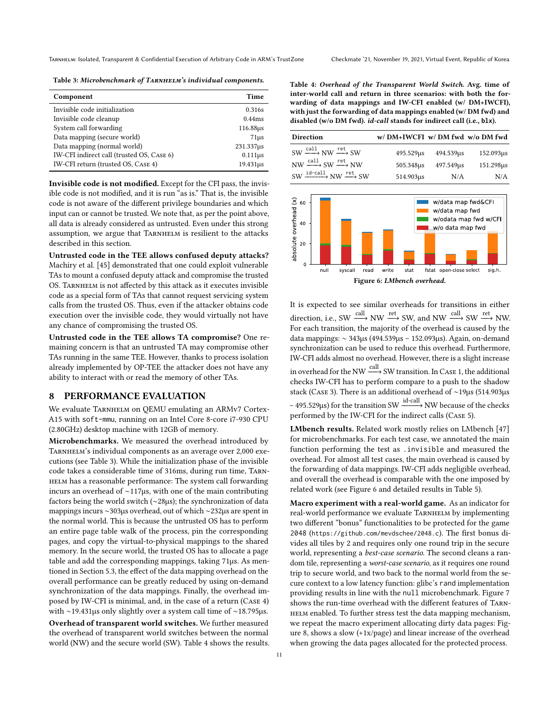<span id="page-10-1"></span>Table 3: Microbenchmark of TARNHELM's individual components.

| Component                                 | Time             |
|-------------------------------------------|------------------|
| Invisible code initialization             | 0.316s           |
| Invisible code cleanup                    | 0.44ms           |
| System call forwarding                    | 116.88us         |
| Data mapping (secure world)               | 71 <sub>us</sub> |
| Data mapping (normal world)               | $231.337\mu s$   |
| IW-CFI indirect call (trusted OS, CASE 6) | $0.111\mu s$     |
| IW-CFI return (trusted OS, CASE 4)        | 19.431us         |

Invisible code is not modified. Except for the CFI pass, the invisible code is not modified, and it is run "as is." That is, the invisible code is not aware of the different privilege boundaries and which input can or cannot be trusted. We note that, as per the point above, all data is already considered as untrusted. Even under this strong assumption, we argue that TARNHELM is resilient to the attacks described in this section.

Untrusted code in the TEE allows confused deputy attacks? Machiry et al. [\[45\]](#page-13-27) demonstrated that one could exploit vulnerable TAs to mount a confused deputy attack and compromise the trusted OS. TARNHELM is not affected by this attack as it executes invisible code as a special form of TAs that cannot request servicing system calls from the trusted OS. Thus, even if the attacker obtains code execution over the invisible code, they would virtually not have any chance of compromising the trusted OS.

Untrusted code in the TEE allows TA compromise? One remaining concern is that an untrusted TA may compromise other TAs running in the same TEE. However, thanks to process isolation already implemented by OP-TEE the attacker does not have any ability to interact with or read the memory of other TAs.

## <span id="page-10-0"></span>8 PERFORMANCE EVALUATION

We evaluate TARNHELM on QEMU emulating an ARMv7 Cortex-A15 with soft-mmu, running on an Intel Core 8-core i7-930 CPU (2.80GHz) desktop machine with 12GB of memory.

Microbenchmarks. We measured the overhead introduced by TARNHELM's individual components as an average over 2,000 executions (see Table [3\)](#page-10-1). While the initialization phase of the invisible code takes a considerable time of 316ms, during run time, Tarn-HELM has a reasonable performance: The system call forwarding incurs an overhead of ∼117µs, with one of the main contributing factors being the world switch (∼28µs); the synchronization of data mappings incurs ∼303µs overhead, out of which ∼232µs are spent in the normal world. This is because the untrusted OS has to perform an entire page table walk of the process, pin the corresponding pages, and copy the virtual-to-physical mappings to the shared memory. In the secure world, the trusted OS has to allocate a page table and add the corresponding mappings, taking 71µs. As mentioned in Section [5.3,](#page-6-2) the effect of the data mapping overhead on the overall performance can be greatly reduced by using on-demand synchronization of the data mappings. Finally, the overhead imposed by IW-CFI is minimal, and, in the case of a return (Case 4) with ∼19.431µs only slightly over a system call time of ∼18.795µs. Overhead of transparent world switches. We further measured the overhead of transparent world switches between the normal world (NW) and the secure world (SW). Table [4](#page-10-2) shows the results. <span id="page-10-2"></span>Table 4: Overhead of the Transparent World Switch. Avg. time of inter-world call and return in three scenarios: with both the forwarding of data mappings and IW-CFI enabled (w/ DM+IWCFI), with just the forwarding of data mappings enabled (w/ DM fwd) and disabled (w/o DM fwd). id-call stands for indirect call (i.e., **blx**).

| <b>Direction</b>                                                 | w/DM+IWCFI w/DM fwd w/oDM fwd |           |           |
|------------------------------------------------------------------|-------------------------------|-----------|-----------|
| $SW \xrightarrow{call} NW \xrightarrow{ret} SW$                  | 495.529us                     | 494.539us | 152.093us |
| $NW \xrightarrow{call} SW \xrightarrow{ret} NW$                  | 505.348us                     | 497.549us | 151.298us |
| $SW \xrightarrow{\text{id-call}} NW \xrightarrow{\text{ret}} SW$ | 514.903us                     | N/A       | N/A       |

<span id="page-10-3"></span>

It is expected to see similar overheads for transitions in either direction, i.e., SW  $\xrightarrow{\text{call}}$  NW  $\xrightarrow{\text{ret}}$  SW, and NW  $\xrightarrow{\text{call}}$  SW  $\xrightarrow{\text{ret}}$  NW. For each transition, the majority of the overhead is caused by the data mappings: ∼ 343µs (494.539µs – 152.093µs). Again, on-demand synchronization can be used to reduce this overhead. Furthermore, IW-CFI adds almost no overhead. However, there is a slight increase in overhead for the NW  $\xrightarrow[]{\text{call}}$  SW transition. In Case 1, the additional checks IW-CFI has to perform compare to a push to the shadow stack (Case 3). There is an additional overhead of ∼19µs (514.903µs − 495.529µs) for the transition SW  $\xrightarrow{\text{id}-\text{call}}$  NW because of the checks performed by the IW-CFI for the indirect calls (Case 5).

LMbench results. Related work mostly relies on LMbench [\[47\]](#page-13-30) for microbenchmarks. For each test case, we annotated the main function performing the test as .invisible and measured the overhead. For almost all test cases, the main overhead is caused by the forwarding of data mappings. IW-CFI adds negligible overhead, and overall the overhead is comparable with the one imposed by related work (see Figure [6](#page-10-3) and detailed results in Table [5\)](#page-11-1).

Macro experiment with a real-world game. As an indicator for real-world performance we evaluate TARNHELM by implementing two different "bonus" functionalities to be protected for the game 2048 (<https://github.com/mevdschee/2048.c>). The first bonus divides all tiles by 2 and requires only one round trip in the secure world, representing a best-case scenario. The second cleans a random tile, representing a worst-case scenario, as it requires one round trip to secure world, and two back to the normal world from the secure context to a low latency function: glibc's rand implementation providing results in line with the null microbenchmark. Figure [7](#page-11-2) shows the run-time overhead with the different features of Tarn-HELM enabled. To further stress test the data mapping mechanism, we repeat the macro experiment allocating dirty data pages: Figure [8,](#page-11-3) shows a slow (+1x/page) and linear increase of the overhead when growing the data pages allocated for the protected process.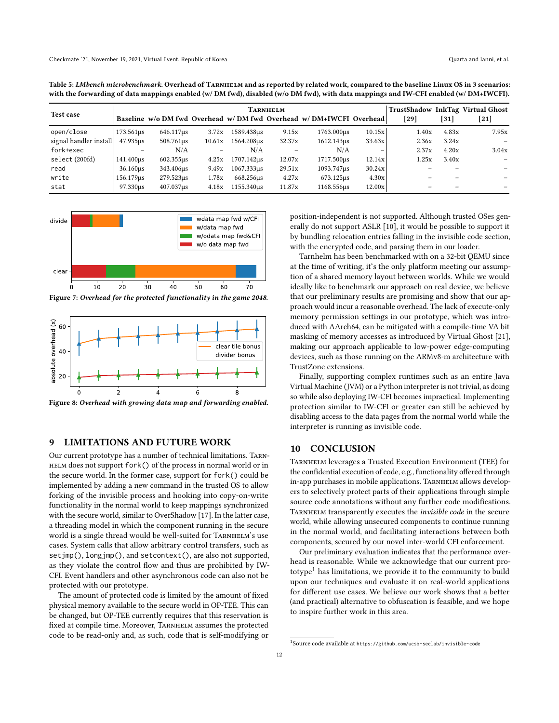<span id="page-11-1"></span>

| with the forwarding of data mappings enabled (w/DM fwd), disabled (w/o DM fwd), with data mappings and IW-CFI enabled (w/ DM+IWCFI). |
|--------------------------------------------------------------------------------------------------------------------------------------|
|                                                                                                                                      |

|                        | TARNHELM  |                  |        |            |        |                                                                      |        |       | TrustShadow InkTag Virtual Ghost |                          |
|------------------------|-----------|------------------|--------|------------|--------|----------------------------------------------------------------------|--------|-------|----------------------------------|--------------------------|
| Test case              |           |                  |        |            |        | Baseline w/o DM fwd Overhead w/ DM fwd Overhead w/ DM+IWCFI Overhead |        | [29]  | [31]                             | $[21]$                   |
| open/close             | 173.561us | 646.117us        | 3.72x  | 1589.438us | 9.15x  | 1763,000us                                                           | 10.15x | 1.40x | 4.83x                            | 7.95x                    |
| signal handler install | 47.935us  | 508.761us        | 10.61x | 1564.208us | 32.37x | 1612.143us                                                           | 33.63x | 2.36x | 3.24x                            | $\equiv$                 |
| fork+exec              |           | N/A              |        | N/A        |        | N/A                                                                  | -      | 2.37x | 4.20x                            | 3.04x                    |
| select (200fd)         | 141.400us | $602.355\,\mu s$ | 4.25x  | 1707.142us | 12.07x | 1717.500us                                                           | 12.14x | 1.25x | 3.40x                            | $\overline{\phantom{0}}$ |
| read                   | 36.160us  | 343.406us        | 9.49x  | 1067.333us | 29.51x | 1093.747us                                                           | 30.24x |       | -                                |                          |
| write                  | 156.179us | 279.523us        | 1.78x  | 668.256us  | 4.27x  | 673.125us                                                            | 4.30x  |       |                                  |                          |
| stat                   | 97.330us  | 407.037us        | 4.18x  | 1155.340us | 11.87x | 1168.556us                                                           | 12.00x |       |                                  |                          |

<span id="page-11-2"></span>

Figure 7: Overhead for the protected functionality in the game 2048.

<span id="page-11-3"></span>

Figure 8: Overhead with growing data map and forwarding enabled.

## <span id="page-11-0"></span>9 LIMITATIONS AND FUTURE WORK

Our current prototype has a number of technical limitations. Tarnhelm does not support fork() of the process in normal world or in the secure world. In the former case, support for fork() could be implemented by adding a new command in the trusted OS to allow forking of the invisible process and hooking into copy-on-write functionality in the normal world to keep mappings synchronized with the secure world, similar to OverShadow [\[17\]](#page-12-23). In the latter case, a threading model in which the component running in the secure world is a single thread would be well-suited for TARNHELM's use cases. System calls that allow arbitrary control transfers, such as setjmp(), longjmp(), and setcontext(), are also not supported, as they violate the control flow and thus are prohibited by IW-CFI. Event handlers and other asynchronous code can also not be protected with our prototype.

The amount of protected code is limited by the amount of fixed physical memory available to the secure world in OP-TEE. This can be changed, but OP-TEE currently requires that this reservation is fixed at compile time. Moreover, TARNHELM assumes the protected code to be read-only and, as such, code that is self-modifying or

position-independent is not supported. Although trusted OSes generally do not support ASLR [\[10\]](#page-12-40), it would be possible to support it by bundling relocation entries falling in the invisible code section, with the encrypted code, and parsing them in our loader.

Tarnhelm has been benchmarked with on a 32-bit QEMU since at the time of writing, it's the only platform meeting our assumption of a shared memory layout between worlds. While we would ideally like to benchmark our approach on real device, we believe that our preliminary results are promising and show that our approach would incur a reasonable overhead. The lack of execute-only memory permission settings in our prototype, which was introduced with AArch64, can be mitigated with a compile-time VA bit masking of memory accesses as introduced by Virtual Ghost [\[21\]](#page-12-9), making our approach applicable to low-power edge-computing devices, such as those running on the ARMv8-m architecture with TrustZone extensions.

Finally, supporting complex runtimes such as an entire Java Virtual Machine (JVM) or a Python interpreter is not trivial, as doing so while also deploying IW-CFI becomes impractical. Implementing protection similar to IW-CFI or greater can still be achieved by disabling access to the data pages from the normal world while the interpreter is running as invisible code.

#### 10 CONCLUSION

Tarnhelm leverages a Trusted Execution Environment (TEE) for the confidential execution of code, e.g., functionality offered through in-app purchases in mobile applications. TARNHELM allows developers to selectively protect parts of their applications through simple source code annotations without any further code modifications. TARNHELM transparently executes the *invisible code* in the secure world, while allowing unsecured components to continue running in the normal world, and facilitating interactions between both components, secured by our novel inter-world CFI enforcement.

Our preliminary evaluation indicates that the performance overhead is reasonable. While we acknowledge that our current pro-totype<sup>[1](#page-11-4)</sup> has limitations, we provide it to the community to build upon our techniques and evaluate it on real-world applications for different use cases. We believe our work shows that a better (and practical) alternative to obfuscation is feasible, and we hope to inspire further work in this area.

<span id="page-11-4"></span><sup>1</sup> Source code available at <https://github.com/ucsb-seclab/invisible-code>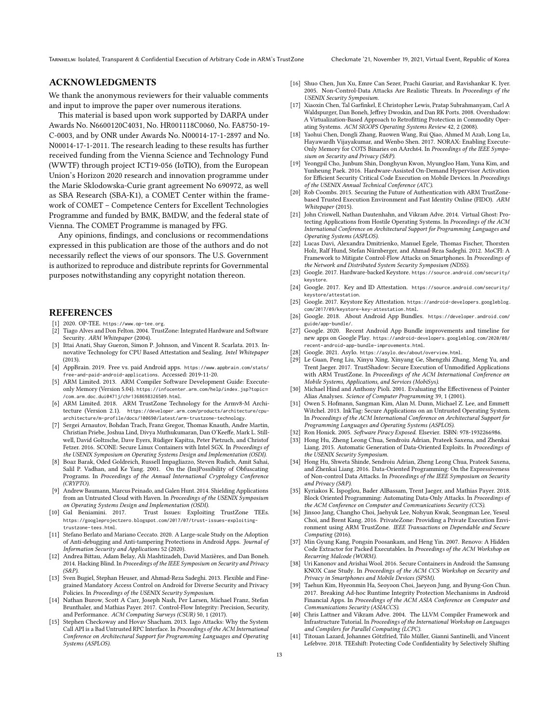Tarnhelm: Isolated, Transparent & Confidential Execution of Arbitrary Code in ARM's TrustZone Checkmate '21, November 19, 2021, Virtual Event, Republic of Korea

## ACKNOWLEDGMENTS

We thank the anonymous reviewers for their valuable comments and input to improve the paper over numerous iterations.

This material is based upon work supported by DARPA under Awards No. N6600120C4031, No. HR001118C0060, No. FA8750-19- C-0003, and by ONR under Awards No. N00014-17-1-2897 and No. N00014-17-1-2011. The research leading to these results has further received funding from the Vienna Science and Technology Fund (WWTF) through project ICT19-056 (IoTIO), from the European Union's Horizon 2020 research and innovation programme under the Marie Sklodowska-Curie grant agreement No 690972, as well as SBA Research (SBA-K1), a COMET Center within the framework of COMET – Competence Centers for Excellent Technologies Programme and funded by BMK, BMDW, and the federal state of Vienna. The COMET Programme is managed by FFG.

Any opinions, findings, and conclusions or recommendations expressed in this publication are those of the authors and do not necessarily reflect the views of our sponsors. The U.S. Government is authorized to reproduce and distribute reprints for Governmental purposes notwithstanding any copyright notation thereon.

#### REFERENCES

- <span id="page-12-33"></span>2020. OP-TEE. <https://www.op-tee.org>.
- <span id="page-12-4"></span>[2] Tiago Alves and Don Felton. 2004. TrustZone: Integrated Hardware and Software Security. ARM Whitepaper (2004).
- <span id="page-12-16"></span>[3] Ittai Anati, Shay Gueron, Simon P. Johnson, and Vincent R. Scarlata. 2013. Innovative Technology for CPU Based Attestation and Sealing. Intel Whitepaper (2013).
- <span id="page-12-0"></span>[4] AppBrain. 2019. Free vs. paid Android apps. [https://www.appbrain.com/stats/](https://www.appbrain.com/stats/free-and-paid-android-applications) [free-and-paid-android-applications](https://www.appbrain.com/stats/free-and-paid-android-applications). Accessed: 2019-11-20.
- <span id="page-12-39"></span>[5] ARM Limited. 2013. ARM Compiler Software Development Guide: Executeonly Memory (Version 5.04). [https://infocenter.arm.com/help/index.jsp?topic](https://infocenter.arm.com/help/index.jsp?topic=/com.arm.doc.dui0471j/chr1368698326509.html)= [/com.arm.doc.dui0471j/chr1368698326509.html](https://infocenter.arm.com/help/index.jsp?topic=/com.arm.doc.dui0471j/chr1368698326509.html).
- <span id="page-12-5"></span>[6] ARM Limited. 2018. ARM TrustZone Technology for the Armv8-M Architecture (Version 2.1). [https://developer.arm.com/products/architecture/cpu](https://developer.arm.com/products/architecture/cpu-architecture/m-profile/docs/100690/latest/arm-trustzone-technology)[architecture/m-profile/docs/100690/latest/arm-trustzone-technology](https://developer.arm.com/products/architecture/cpu-architecture/m-profile/docs/100690/latest/arm-trustzone-technology).
- <span id="page-12-10"></span>[7] Sergei Arnautov, Bohdan Trach, Franz Gregor, Thomas Knauth, Andre Martin, Christian Priebe, Joshua Lind, Divya Muthukumaran, Dan O'Keeffe, Mark L. Stillwell, David Goltzsche, Dave Eyers, Rüdiger Kapitza, Peter Pietzuch, and Christof Fetzer. 2016. SCONE: Secure Linux Containers with Intel SGX. In Proceedings of the USENIX Symposium on Operating Systems Design and Implementation (OSDI).
- <span id="page-12-21"></span>[8] Boaz Barak, Oded Goldreich, Russell Impagliazzo, Steven Rudich, Amit Sahai, Salil P. Vadhan, and Ke Yang. 2001. On the (Im)Possibility of Obfuscating Programs. In Proceedings of the Annual International Cryptology Conference (CRYPTO).
- <span id="page-12-11"></span>[9] Andrew Baumann, Marcus Peinado, and Galen Hunt. 2014. Shielding Applications from an Untrusted Cloud with Haven. In Proceedings of the USENIX Symposium on Operating Systems Design and Implementation (OSDI).
- <span id="page-12-40"></span>[10] Gal Beniamini. 2017. Trust Issues: Exploiting TrustZone TEEs. [https://googleprojectzero.blogspot.com/2017/07/trust-issues-exploiting](https://googleprojectzero.blogspot.com/2017/07/trust-issues-exploiting-trustzone-tees.html)[trustzone-tees.html](https://googleprojectzero.blogspot.com/2017/07/trust-issues-exploiting-trustzone-tees.html).
- <span id="page-12-2"></span>[11] Stefano Berlato and Mariano Ceccato. 2020. A Large-scale Study on the Adoption of Anti-debugging and Anti-tampering Protections in Android Apps. Journal of Information Security and Applications 52 (2020).
- <span id="page-12-27"></span>[12] Andrea Bittau, Adam Belay, Ali Mashtizadeh, David Mazières, and Dan Boneh. 2014. Hacking Blind. In Proceedings of the IEEE Symposium on Security and Privacy (S&P).
- <span id="page-12-17"></span>[13] Sven Bugiel, Stephan Heuser, and Ahmad-Reza Sadeghi. 2013. Flexible and Finegrained Mandatory Access Control on Android for Diverse Security and Privacy Policies. In Proceedings of the USENIX Security Symposium.
- <span id="page-12-24"></span>[14] Nathan Burow, Scott A Carr, Joseph Nash, Per Larsen, Michael Franz, Stefan Brunthaler, and Mathias Payer. 2017. Control-Flow Integrity: Precision, Security, and Performance. ACM Computing Surveys (CSUR) 50, 1 (2017).
- <span id="page-12-26"></span>[15] Stephen Checkoway and Hovav Shacham. 2013. Iago Attacks: Why the System Call API is a Bad Untrusted RPC Interface. In Proceedings of the ACM International Conference on Architectural Support for Programming Languages and Operating Systems (ASPLOS).
- <span id="page-12-34"></span>[16] Shuo Chen, Jun Xu, Emre Can Sezer, Prachi Gauriar, and Ravishankar K. Iyer. 2005. Non-Control-Data Attacks Are Realistic Threats. In Proceedings of the USENIX Security Symposium.
- <span id="page-12-23"></span>[17] Xiaoxin Chen, Tal Garfinkel, E Christopher Lewis, Pratap Subrahmanyam, Carl A Waldspurger, Dan Boneh, Jeffrey Dwoskin, and Dan RK Ports. 2008. Overshadow: A Virtualization-Based Approach to Retrofitting Protection in Commodity Operating Systems. ACM SIGOPS Operating Systems Review 42, 2 (2008).
- <span id="page-12-22"></span>[18] Yaohui Chen, Dongli Zhang, Ruowen Wang, Rui Qiao, Ahmed M Azab, Long Lu, Hayawardh Vijayakumar, and Wenbo Shen. 2017. NORAX: Enabling Execute-Only Memory for COTS Binaries on AArch64. In Proceedings of the IEEE Symposium on Security and Privacy (S&P).
- <span id="page-12-7"></span>[19] Yeongpil Cho, Junbum Shin, Donghyun Kwon, MyungJoo Ham, Yuna Kim, and Yunheung Paek. 2016. Hardware-Assisted On-Demand Hypervisor Activation for Efficient Security Critical Code Execution on Mobile Devices. In Proceedings of the USENIX Annual Technical Conference (ATC).
- <span id="page-12-31"></span>[20] Rob Coombs. 2015. Securing the Future of Authentication with ARM TrustZonebased Trusted Execution Environment and Fast Identity Online (FIDO). ARM Whitepaper (2015).
- <span id="page-12-9"></span>[21] John Criswell, Nathan Dautenhahn, and Vikram Adve. 2014. Virtual Ghost: Protecting Applications from Hostile Operating Systems. In Proceedings of the ACM International Conference on Architectural Support for Programming Languages and Operating Systems (ASPLOS).
- <span id="page-12-25"></span>[22] Lucas Davi, Alexandra Dmitrienko, Manuel Egele, Thomas Fischer, Thorsten Holz, Ralf Hund, Stefan Nürnberger, and Ahmad-Reza Sadeghi. 2012. MoCFI: A Framework to Mitigate Control-Flow Attacks on Smartphones. In Proceedings of the Network and Distributed System Security Symposium (NDSS).
- <span id="page-12-32"></span>[23] Google. 2017. Hardware-backed Keystore. [https://source.android.com/security/](https://source.android.com/security/keystore) [keystore](https://source.android.com/security/keystore).
- <span id="page-12-15"></span>[24] Google. 2017. Key and ID Attestation. [https://source.android.com/security/](https://source.android.com/security/keystore/attestation) [keystore/attestation](https://source.android.com/security/keystore/attestation).
- <span id="page-12-30"></span>[25] Google. 2017. Keystore Key Attestation. [https://android-developers.googleblog.](https://android-developers.googleblog.com/2017/09/keystore-key-attestation.html) [com/2017/09/keystore-key-attestation.html](https://android-developers.googleblog.com/2017/09/keystore-key-attestation.html).
- <span id="page-12-28"></span>[26] Google. 2018. About Android App Bundles. [https://developer.android.com/](https://developer.android.com/guide/app-bundle/) [guide/app-bundle/](https://developer.android.com/guide/app-bundle/).
- <span id="page-12-29"></span>[27] Google. 2020. Recent Android App Bundle improvements and timeline for new apps on Google Play. [https://android-developers.googleblog.com/2020/08/](https://android-developers.googleblog.com/2020/08/recent-android-app-bundle-improvements.html) [recent-android-app-bundle-improvements.html](https://android-developers.googleblog.com/2020/08/recent-android-app-bundle-improvements.html).
- <span id="page-12-18"></span>[28] Google. 2021. Asylo. <https://asylo.dev/about/overview.html>.
- <span id="page-12-13"></span>[29] Le Guan, Peng Liu, Xinyu Xing, Xinyang Ge, Shengzhi Zhang, Meng Yu, and Trent Jaeger. 2017. TrustShadow: Secure Execution of Unmodified Applications with ARM TrustZone. In Proceedings of the ACM International Conference on Mobile Systems, Applications, and Services (MobiSys).
- <span id="page-12-19"></span>[30] Michael Hind and Anthony Pioli. 2001. Evaluating the Effectiveness of Pointer Alias Analyses. Science of Computer Programming 39, 1 (2001).
- <span id="page-12-8"></span>[31] Owen S. Hofmann, Sangman Kim, Alan M. Dunn, Michael Z. Lee, and Emmett Witchel. 2013. InkTag: Secure Applications on an Untrusted Operating System. In Proceedings of the ACM International Conference on Architectural Support for Programming Languages and Operating Systems (ASPLOS).
- <span id="page-12-1"></span>[32] Ron Honick. 2005. Software Piracy Exposed. Elsevier. ISBN: 978-1932266986.
- <span id="page-12-36"></span>[33] Hong Hu, Zheng Leong Chua, Sendroiu Adrian, Prateek Saxena, and Zhenkai Liang. 2015. Automatic Generation of Data-Oriented Exploits. In Proceedings of the USENIX Security Symposium.
- <span id="page-12-37"></span>[34] Hong Hu, Shweta Shinde, Sendroiu Adrian, Zheng Leong Chua, Prateek Saxena, and Zhenkai Liang. 2016. Data-Oriented Programming: On the Expressiveness of Non-control Data Attacks. In Proceedings of the IEEE Symposium on Security and Privacy (S&P).
- <span id="page-12-38"></span>[35] Kyriakos K. Ispoglou, Bader AlBassam, Trent Jaeger, and Mathias Payer. 2018. Block Oriented Programming: Automating Data-Only Attacks. In Proceedings of the ACM Conference on Computer and Communications Security (CCS).
- <span id="page-12-12"></span>[36] Jinsoo Jang, Changho Choi, Jaehyuk Lee, Nohyun Kwak, Seongman Lee, Yeseul Choi, and Brent Kang. 2016. PrivateZone: Providing a Private Execution Environment using ARM TrustZone. IEEE Transactions on Dependable and Secure Computing (2016).
- <span id="page-12-20"></span>[37] Min Gyung Kang, Pongsin Poosankam, and Heng Yin. 2007. Renovo: A Hidden Code Extractor for Packed Executables. In Proceedings of the ACM Workshop on Recurring Malcode (WORM).
- <span id="page-12-6"></span>[38] Uri Kanonov and Avishai Wool. 2016. Secure Containers in Android: the Samsung KNOX Case Study. In Proceedings of the ACM CCS Workshop on Security and Privacy in Smartphones and Mobile Devices (SPSM).
- <span id="page-12-3"></span>[39] Taehun Kim, Hyeonmin Ha, Seoyoon Choi, Jaeyeon Jung, and Byung-Gon Chun. 2017. Breaking Ad-hoc Runtime Integrity Protection Mechanisms in Android Financial Apps. In Proceedings of the ACM ASIA Conference on Computer and Communications Security (ASIACCS).
- <span id="page-12-35"></span>[40] Chris Lattner and Vikram Adve. 2004. The LLVM Compiler Framework and Infrastructure Tutorial. In Proceedings of the International Workshop on Languages and Compilers for Parallel Computing (LCPC).
- <span id="page-12-14"></span>[41] Titouan Lazard, Johannes Götzfried, Tilo Müller, Gianni Santinelli, and Vincent Lefebvre. 2018. TEEshift: Protecting Code Confidentiality by Selectively Shifting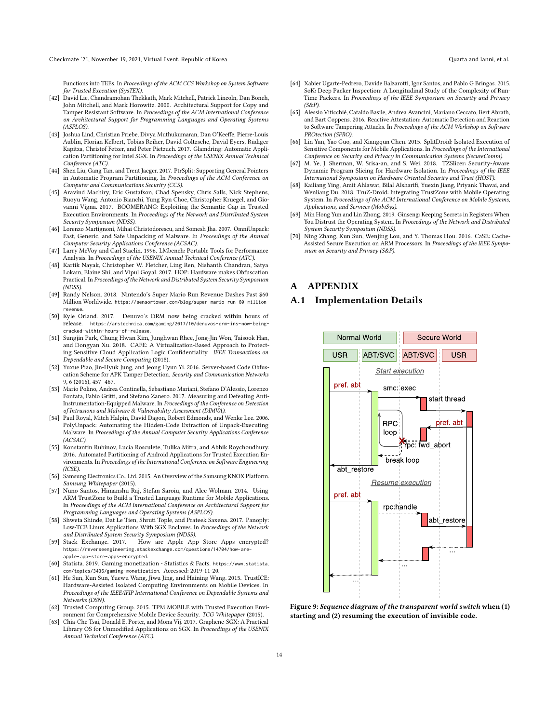Checkmate '21, November 19, 2021, Virtual Event, Republic of Korea Quarta and Ianni, et al.

Functions into TEEs. In Proceedings of the ACM CCS Workshop on System Software for Trusted Execution (SysTEX).

- <span id="page-13-21"></span>[42] David Lie, Chandramohan Thekkath, Mark Mitchell, Patrick Lincoln, Dan Boneh, John Mitchell, and Mark Horowitz. 2000. Architectural Support for Copy and Tamper Resistant Software. In Proceedings of the ACM International Conference on Architectural Support for Programming Languages and Operating Systems (ASPLOS).
- <span id="page-13-12"></span>[43] Joshua Lind, Christian Priebe, Divya Muthukumaran, Dan O'Keeffe, Pierre-Louis Aublin, Florian Kelbert, Tobias Reiher, David Goltzsche, David Eyers, Rüdiger Kapitza, Christof Fetzer, and Peter Pietzuch. 2017. Glamdring: Automatic Application Partitioning for Intel SGX. In Proceedings of the USENIX Annual Technical Conference (ATC).
- <span id="page-13-13"></span>[44] Shen Liu, Gang Tan, and Trent Jaeger. 2017. PtrSplit: Supporting General Pointers in Automatic Program Partitioning. In Proceedings of the ACM Conference on Computer and Communications Security (CCS).
- <span id="page-13-27"></span>[45] Aravind Machiry, Eric Gustafson, Chad Spensky, Chris Salls, Nick Stephens, Ruoyu Wang, Antonio Bianchi, Yung Ryn Choe, Christopher Kruegel, and Giovanni Vigna. 2017. BOOMERANG: Exploiting the Semantic Gap in Trusted Execution Environments. In Proceedings of the Network and Distributed System Security Symposium (NDSS).
- <span id="page-13-17"></span>[46] Lorenzo Martignoni, Mihai Christodorescu, and Somesh Jha. 2007. OmniUnpack: Fast, Generic, and Safe Unpacking of Malware. In Proceedings of the Annual Computer Security Applications Conference (ACSAC).
- <span id="page-13-30"></span>[47] Larry McVoy and Carl Staelin. 1996. LMbench: Portable Tools for Performance Analysis. In Proceedings of the USENIX Annual Technical Conference (ATC).
- <span id="page-13-20"></span>[48] Kartik Nayak, Christopher W. Fletcher, Ling Ren, Nishanth Chandran, Satya Lokam, Elaine Shi, and Vipul Goyal. 2017. HOP: Hardware makes Obfuscation Practical. In Proceedings of the Network and Distributed System Security Symposium (NDSS).
- <span id="page-13-1"></span>[49] Randy Nelson. 2018. Nintendo's Super Mario Run Revenue Dashes Past \$60 Million Worldwide. [https://sensortower.com/blog/super-mario-run-60-million](https://sensortower.com/blog/super-mario-run-60-million-revenue)[revenue](https://sensortower.com/blog/super-mario-run-60-million-revenue).
- <span id="page-13-2"></span>[50] Kyle Orland. 2017. Denuvo's DRM now being cracked within hours of release. [https://arstechnica.com/gaming/2017/10/denuvos-drm-ins-now-being](https://arstechnica.com/gaming/2017/10/denuvos-drm-ins-now-being-cracked-within-hours-of-release)[cracked-within-hours-of-release](https://arstechnica.com/gaming/2017/10/denuvos-drm-ins-now-being-cracked-within-hours-of-release).
- <span id="page-13-22"></span>[51] Sungjin Park, Chung Hwan Kim, Junghwan Rhee, Jong-Jin Won, Taisook Han, and Dongyan Xu. 2018. CAFE: A Virtualization-Based Approach to Protecting Sensitive Cloud Application Logic Confidentiality. IEEE Transactions on Dependable and Secure Computing (2018).
- <span id="page-13-3"></span>[52] Yuxue Piao, Jin-Hyuk Jung, and Jeong Hyun Yi. 2016. Server-based Code Obfuscation Scheme for APK Tamper Detection. Security and Communication Networks 9, 6 (2016), 457–467.
- <span id="page-13-18"></span>[53] Mario Polino, Andrea Continella, Sebastiano Mariani, Stefano D'Alessio, Lorenzo Fontata, Fabio Gritti, and Stefano Zanero. 2017. Measuring and Defeating Anti-Instrumentation-Equipped Malware. In Proceedings of the Conference on Detection of Intrusions and Malware & Vulnerability Assessment (DIMVA).
- <span id="page-13-19"></span>[54] Paul Royal, Mitch Halpin, David Dagon, Robert Edmonds, and Wenke Lee. 2006. PolyUnpack: Automating the Hidden-Code Extraction of Unpack-Executing Malware. In Proceedings of the Annual Computer Security Applications Conference (ACSAC).
- <span id="page-13-14"></span>[55] Konstantin Rubinov, Lucia Rosculete, Tulika Mitra, and Abhik Roychoudhury. 2016. Automated Partitioning of Android Applications for Trusted Execution Environments. In Proceedings of the International Conference on Software Engineering (ICSE).
- <span id="page-13-5"></span>[56] Samsung Electronics Co., Ltd. 2015. An Overview of the Samsung KNOX Platform. Samsung Whitepaper (2015).
- <span id="page-13-10"></span>[57] Nuno Santos, Himanshu Raj, Stefan Saroiu, and Alec Wolman. 2014. Using ARM TrustZone to Build a Trusted Language Runtime for Mobile Applications. In Proceedings of the ACM International Conference on Architectural Support for Programming Languages and Operating Systems (ASPLOS).
- <span id="page-13-8"></span>[58] Shweta Shinde, Dat Le Tien, Shruti Tople, and Prateek Saxena. 2017. Panoply: Low-TCB Linux Applications With SGX Enclaves. In Proceedings of the Network and Distributed System Security Symposium (NDSS).
- <span id="page-13-25"></span>How are Apple App Store Apps encrypted? https://reverseengineering.stackexchange.com/questions/14704/how-are [apple-app-store-apps-encrypted](https://reverseengineering.stackexchange.com/questions/14704/how-are-apple-app-store-apps-encrypted).
- <span id="page-13-0"></span>[60] Statista. 2019. Gaming monetization - Statistics & Facts. [https://www.statista.](https://www.statista.com/topics/3436/gaming-monetization) [com/topics/3436/gaming-monetization](https://www.statista.com/topics/3436/gaming-monetization). Accessed: 2019-11-20.
- <span id="page-13-7"></span>[61] He Sun, Kun Sun, Yuewu Wang, Jiwu Jing, and Haining Wang. 2015. TrustICE: Hardware-Assisted Isolated Computing Environments on Mobile Devices. In Proceedings of the IEEE/IFIP International Conference on Dependable Systems and Networks (DSN).
- <span id="page-13-26"></span>[62] Trusted Computing Group. 2015. TPM MOBILE with Trusted Execution Environment for Comprehensive Mobile Device Security. TCG Whitepaper (2015).
- <span id="page-13-9"></span>[63] Chia-Che Tsai, Donald E. Porter, and Mona Vij. 2017. Graphene-SGX: A Practical Library OS for Unmodified Applications on SGX. In Proceedings of the USENIX Annual Technical Conference (ATC).
- <span id="page-13-16"></span>[64] Xabier Ugarte-Pedrero, Davide Balzarotti, Igor Santos, and Pablo G Bringas. 2015. SoK: Deep Packer Inspection: A Longitudinal Study of the Complexity of Run-Time Packers. In Proceedings of the IEEE Symposium on Security and Privacy (S&P).
- <span id="page-13-4"></span>[65] Alessio Viticchié, Cataldo Basile, Andrea Avancini, Mariano Ceccato, Bert Abrath, and Bart Coppens. 2016. Reactive Attestation: Automatic Detection and Reaction to Software Tampering Attacks. In Proceedings of the ACM Workshop on Software PROtection (SPRO).
- <span id="page-13-6"></span>[66] Lin Yan, Yao Guo, and Xiangqun Chen. 2015. SplitDroid: Isolated Execution of Sensitive Components for Mobile Applications. In Proceedings of the International Conference on Security and Privacy in Communication Systems (SecureComm).
- <span id="page-13-15"></span>[67] M. Ye, J. Sherman, W. Srisa-an, and S. Wei. 2018. TZSlicer: Security-Aware Dynamic Program Slicing for Hardware Isolation. In Proceedings of the IEEE International Symposium on Hardware Oriented Security and Trust (HOST).
- <span id="page-13-24"></span>[68] Kailiang Ying, Amit Ahlawat, Bilal Alsharifi, Yuexin Jiang, Priyank Thavai, and Wenliang Du. 2018. TruZ-Droid: Integrating TrustZone with Mobile Operating System. In Proceedings of the ACM International Conference on Mobile Systems, Applications, and Services (MobiSys).
- <span id="page-13-23"></span>[69] Min Hong Yun and Lin Zhong. 2019. Ginseng: Keeping Secrets in Registers When You Distrust the Operating System. In Proceedings of the Network and Distributed System Security Symposium (NDSS).
- <span id="page-13-11"></span>[70] Ning Zhang, Kun Sun, Wenjing Lou, and Y. Thomas Hou. 2016. CaSE: Cache-Assisted Secure Execution on ARM Processors. In Proceedings of the IEEE Symposium on Security and Privacy (S&P).

## A APPENDIX

#### <span id="page-13-29"></span>A.1 Implementation Details

<span id="page-13-28"></span>

Figure 9: Sequence diagram of the transparent world switch when (1) starting and (2) resuming the execution of invisible code.